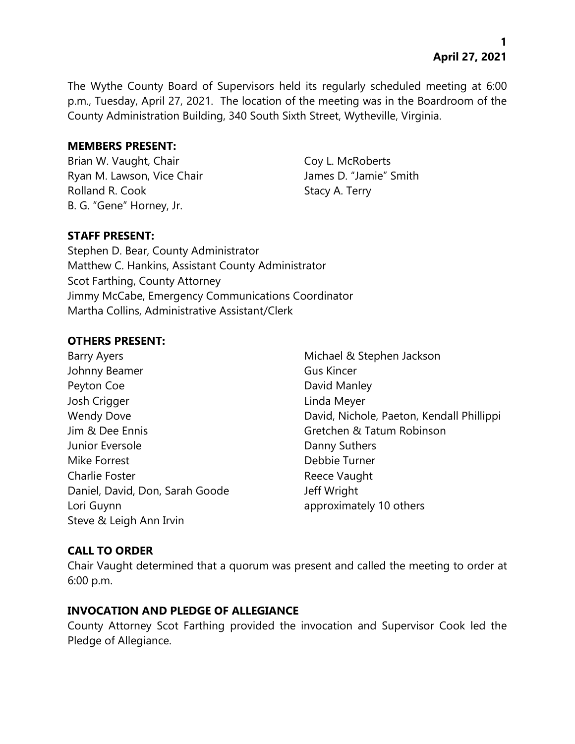**1 April 27, 2021**

The Wythe County Board of Supervisors held its regularly scheduled meeting at 6:00 p.m., Tuesday, April 27, 2021. The location of the meeting was in the Boardroom of the County Administration Building, 340 South Sixth Street, Wytheville, Virginia.

#### **MEMBERS PRESENT:**

Brian W. Vaught, Chair Coy L. McRoberts Ryan M. Lawson, Vice Chair **James D. "Jamie"** Smith Rolland R. Cook Stacy A. Terry B. G. "Gene" Horney, Jr.

# **STAFF PRESENT:**

Stephen D. Bear, County Administrator Matthew C. Hankins, Assistant County Administrator Scot Farthing, County Attorney Jimmy McCabe, Emergency Communications Coordinator Martha Collins, Administrative Assistant/Clerk

#### **OTHERS PRESENT:**

| <b>Barry Ayers</b>              |
|---------------------------------|
| Johnny Beamer                   |
| Peyton Coe                      |
| Josh Crigger                    |
| <b>Wendy Dove</b>               |
| Jim & Dee Ennis                 |
| Junior Eversole                 |
| Mike Forrest                    |
| Charlie Foster                  |
| Daniel, David, Don, Sarah Goode |
| Lori Guynn                      |
| Steve & Leigh Ann Irvin         |

Michael & Stephen Jackson Gus Kincer David Manley Linda Meyer David, Nichole, Paeton, Kendall Phillippi Gretchen & Tatum Robinson Danny Suthers Debbie Turner Reece Vaught Jeff Wright approximately 10 others

# **CALL TO ORDER**

Chair Vaught determined that a quorum was present and called the meeting to order at 6:00 p.m.

# **INVOCATION AND PLEDGE OF ALLEGIANCE**

County Attorney Scot Farthing provided the invocation and Supervisor Cook led the Pledge of Allegiance.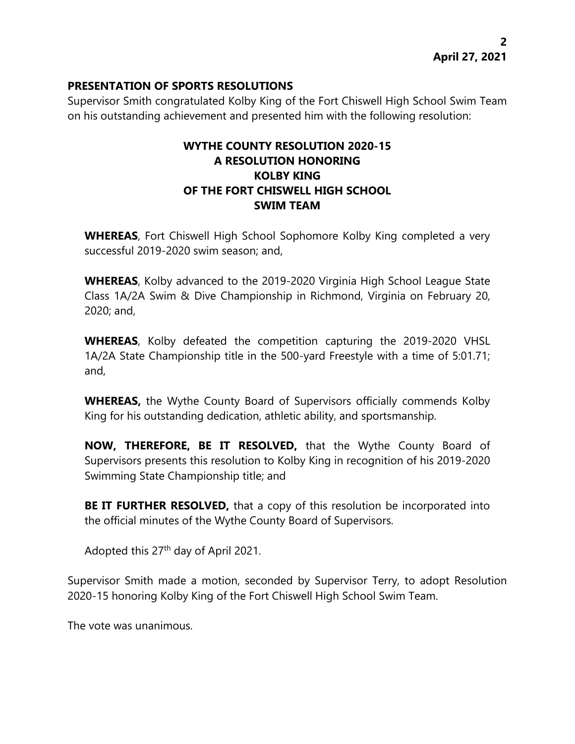# **PRESENTATION OF SPORTS RESOLUTIONS**

Supervisor Smith congratulated Kolby King of the Fort Chiswell High School Swim Team on his outstanding achievement and presented him with the following resolution:

# **WYTHE COUNTY RESOLUTION 2020-15 A RESOLUTION HONORING KOLBY KING OF THE FORT CHISWELL HIGH SCHOOL SWIM TEAM**

**WHEREAS**, Fort Chiswell High School Sophomore Kolby King completed a very successful 2019-2020 swim season; and,

**WHEREAS**, Kolby advanced to the 2019-2020 Virginia High School League State Class 1A/2A Swim & Dive Championship in Richmond, Virginia on February 20, 2020; and,

**WHEREAS**, Kolby defeated the competition capturing the 2019-2020 VHSL 1A/2A State Championship title in the 500-yard Freestyle with a time of 5:01.71; and,

**WHEREAS,** the Wythe County Board of Supervisors officially commends Kolby King for his outstanding dedication, athletic ability, and sportsmanship.

**NOW, THEREFORE, BE IT RESOLVED,** that the Wythe County Board of Supervisors presents this resolution to Kolby King in recognition of his 2019-2020 Swimming State Championship title; and

**BE IT FURTHER RESOLVED,** that a copy of this resolution be incorporated into the official minutes of the Wythe County Board of Supervisors.

Adopted this  $27<sup>th</sup>$  day of April 2021.

Supervisor Smith made a motion, seconded by Supervisor Terry, to adopt Resolution 2020-15 honoring Kolby King of the Fort Chiswell High School Swim Team.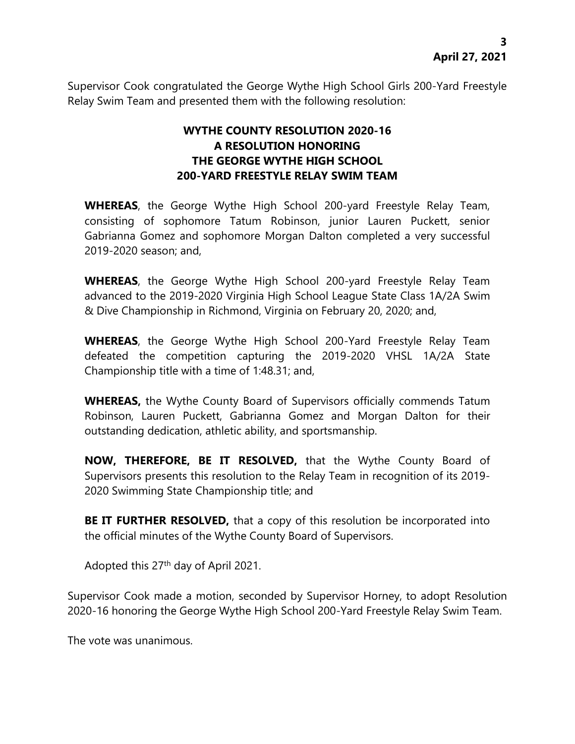Supervisor Cook congratulated the George Wythe High School Girls 200-Yard Freestyle Relay Swim Team and presented them with the following resolution:

# **WYTHE COUNTY RESOLUTION 2020-16 A RESOLUTION HONORING THE GEORGE WYTHE HIGH SCHOOL 200-YARD FREESTYLE RELAY SWIM TEAM**

**WHEREAS**, the George Wythe High School 200-yard Freestyle Relay Team, consisting of sophomore Tatum Robinson, junior Lauren Puckett, senior Gabrianna Gomez and sophomore Morgan Dalton completed a very successful 2019-2020 season; and,

**WHEREAS**, the George Wythe High School 200-yard Freestyle Relay Team advanced to the 2019-2020 Virginia High School League State Class 1A/2A Swim & Dive Championship in Richmond, Virginia on February 20, 2020; and,

**WHEREAS**, the George Wythe High School 200-Yard Freestyle Relay Team defeated the competition capturing the 2019-2020 VHSL 1A/2A State Championship title with a time of 1:48.31; and,

**WHEREAS,** the Wythe County Board of Supervisors officially commends Tatum Robinson, Lauren Puckett, Gabrianna Gomez and Morgan Dalton for their outstanding dedication, athletic ability, and sportsmanship.

**NOW, THEREFORE, BE IT RESOLVED,** that the Wythe County Board of Supervisors presents this resolution to the Relay Team in recognition of its 2019- 2020 Swimming State Championship title; and

**BE IT FURTHER RESOLVED,** that a copy of this resolution be incorporated into the official minutes of the Wythe County Board of Supervisors.

Adopted this 27<sup>th</sup> day of April 2021.

Supervisor Cook made a motion, seconded by Supervisor Horney, to adopt Resolution 2020-16 honoring the George Wythe High School 200-Yard Freestyle Relay Swim Team.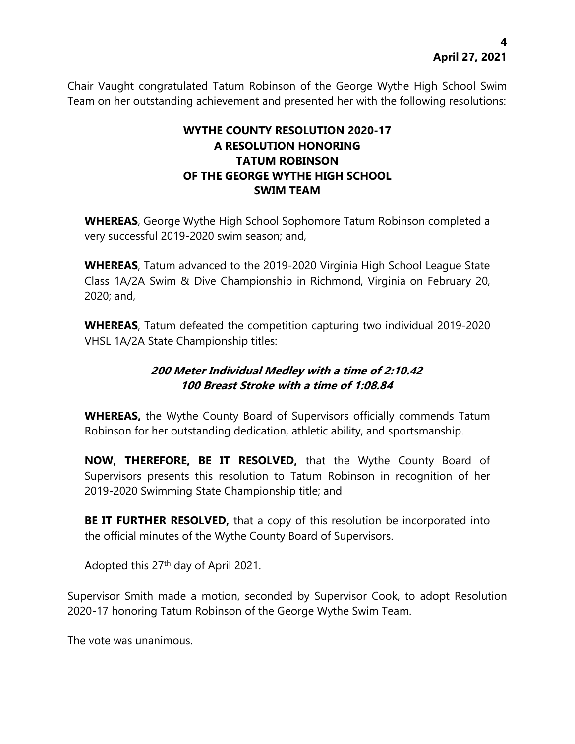Chair Vaught congratulated Tatum Robinson of the George Wythe High School Swim Team on her outstanding achievement and presented her with the following resolutions:

# **WYTHE COUNTY RESOLUTION 2020-17 A RESOLUTION HONORING TATUM ROBINSON OF THE GEORGE WYTHE HIGH SCHOOL SWIM TEAM**

**WHEREAS**, George Wythe High School Sophomore Tatum Robinson completed a very successful 2019-2020 swim season; and,

**WHEREAS**, Tatum advanced to the 2019-2020 Virginia High School League State Class 1A/2A Swim & Dive Championship in Richmond, Virginia on February 20, 2020; and,

**WHEREAS**, Tatum defeated the competition capturing two individual 2019-2020 VHSL 1A/2A State Championship titles:

# **200 Meter Individual Medley with a time of 2:10.42 100 Breast Stroke with a time of 1:08.84**

**WHEREAS,** the Wythe County Board of Supervisors officially commends Tatum Robinson for her outstanding dedication, athletic ability, and sportsmanship.

**NOW, THEREFORE, BE IT RESOLVED,** that the Wythe County Board of Supervisors presents this resolution to Tatum Robinson in recognition of her 2019-2020 Swimming State Championship title; and

**BE IT FURTHER RESOLVED,** that a copy of this resolution be incorporated into the official minutes of the Wythe County Board of Supervisors.

Adopted this 27<sup>th</sup> day of April 2021.

Supervisor Smith made a motion, seconded by Supervisor Cook, to adopt Resolution 2020-17 honoring Tatum Robinson of the George Wythe Swim Team.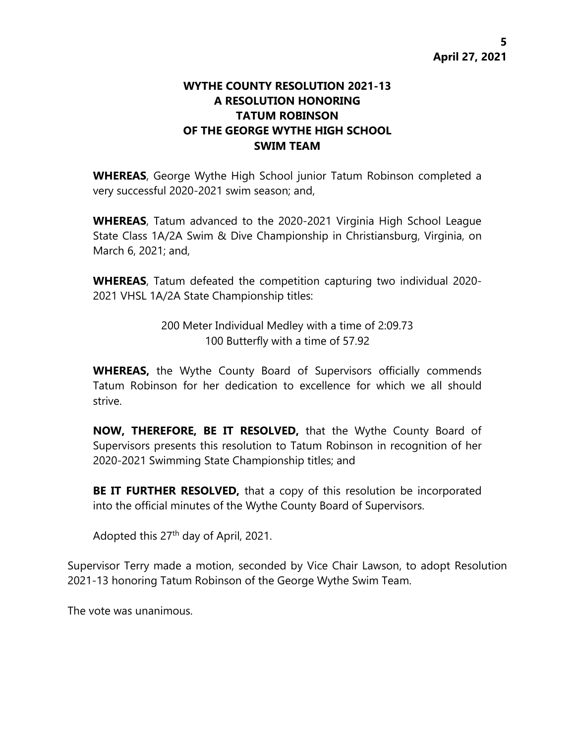# **WYTHE COUNTY RESOLUTION 2021-13 A RESOLUTION HONORING TATUM ROBINSON OF THE GEORGE WYTHE HIGH SCHOOL SWIM TEAM**

**WHEREAS**, George Wythe High School junior Tatum Robinson completed a very successful 2020-2021 swim season; and,

**WHEREAS**, Tatum advanced to the 2020-2021 Virginia High School League State Class 1A/2A Swim & Dive Championship in Christiansburg, Virginia, on March 6, 2021; and,

**WHEREAS**, Tatum defeated the competition capturing two individual 2020- 2021 VHSL 1A/2A State Championship titles:

> 200 Meter Individual Medley with a time of 2:09.73 100 Butterfly with a time of 57.92

**WHEREAS,** the Wythe County Board of Supervisors officially commends Tatum Robinson for her dedication to excellence for which we all should strive.

**NOW, THEREFORE, BE IT RESOLVED,** that the Wythe County Board of Supervisors presents this resolution to Tatum Robinson in recognition of her 2020-2021 Swimming State Championship titles; and

**BE IT FURTHER RESOLVED,** that a copy of this resolution be incorporated into the official minutes of the Wythe County Board of Supervisors.

Adopted this 27th day of April, 2021.

Supervisor Terry made a motion, seconded by Vice Chair Lawson, to adopt Resolution 2021-13 honoring Tatum Robinson of the George Wythe Swim Team.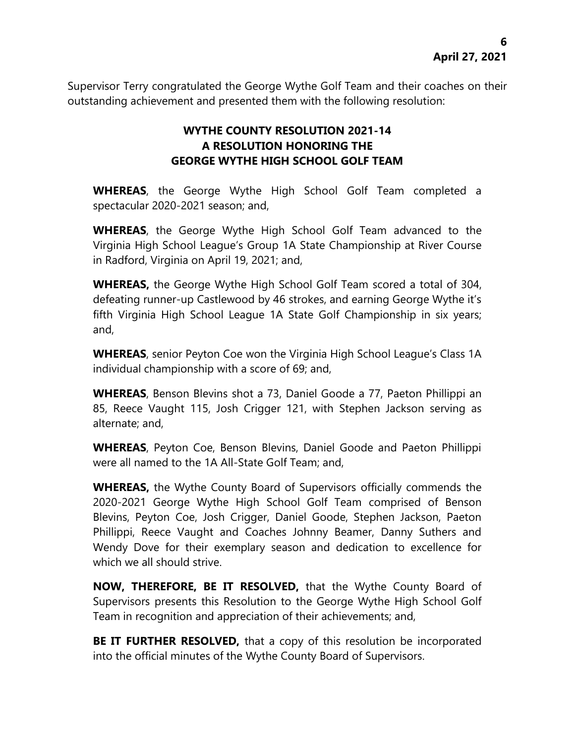Supervisor Terry congratulated the George Wythe Golf Team and their coaches on their outstanding achievement and presented them with the following resolution:

# **WYTHE COUNTY RESOLUTION 2021-14 A RESOLUTION HONORING THE GEORGE WYTHE HIGH SCHOOL GOLF TEAM**

**WHEREAS**, the George Wythe High School Golf Team completed a spectacular 2020-2021 season; and,

**WHEREAS**, the George Wythe High School Golf Team advanced to the Virginia High School League's Group 1A State Championship at River Course in Radford, Virginia on April 19, 2021; and,

**WHEREAS,** the George Wythe High School Golf Team scored a total of 304, defeating runner-up Castlewood by 46 strokes, and earning George Wythe it's fifth Virginia High School League 1A State Golf Championship in six years; and,

**WHEREAS**, senior Peyton Coe won the Virginia High School League's Class 1A individual championship with a score of 69; and,

**WHEREAS**, Benson Blevins shot a 73, Daniel Goode a 77, Paeton Phillippi an 85, Reece Vaught 115, Josh Crigger 121, with Stephen Jackson serving as alternate; and,

**WHEREAS**, Peyton Coe, Benson Blevins, Daniel Goode and Paeton Phillippi were all named to the 1A All-State Golf Team; and,

**WHEREAS,** the Wythe County Board of Supervisors officially commends the 2020-2021 George Wythe High School Golf Team comprised of Benson Blevins, Peyton Coe, Josh Crigger, Daniel Goode, Stephen Jackson, Paeton Phillippi, Reece Vaught and Coaches Johnny Beamer, Danny Suthers and Wendy Dove for their exemplary season and dedication to excellence for which we all should strive.

**NOW, THEREFORE, BE IT RESOLVED,** that the Wythe County Board of Supervisors presents this Resolution to the George Wythe High School Golf Team in recognition and appreciation of their achievements; and,

**BE IT FURTHER RESOLVED,** that a copy of this resolution be incorporated into the official minutes of the Wythe County Board of Supervisors.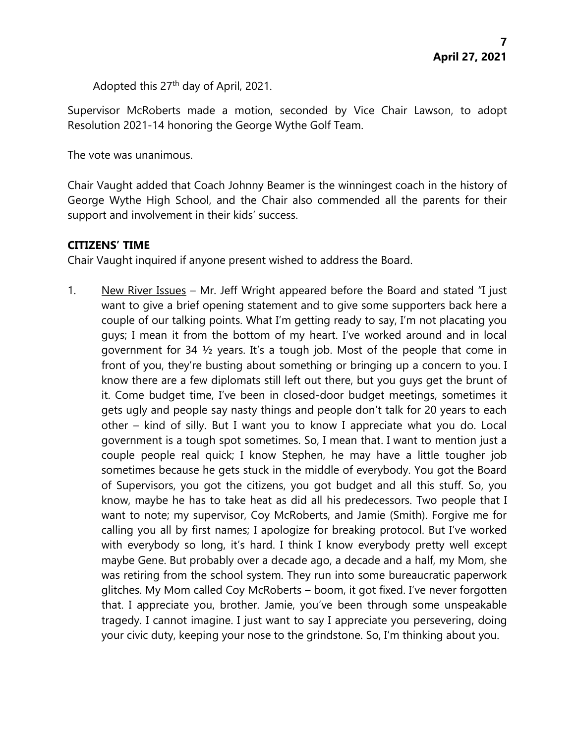Adopted this 27th day of April, 2021.

Supervisor McRoberts made a motion, seconded by Vice Chair Lawson, to adopt Resolution 2021-14 honoring the George Wythe Golf Team.

The vote was unanimous.

Chair Vaught added that Coach Johnny Beamer is the winningest coach in the history of George Wythe High School, and the Chair also commended all the parents for their support and involvement in their kids' success.

# **CITIZENS' TIME**

Chair Vaught inquired if anyone present wished to address the Board.

1. New River Issues – Mr. Jeff Wright appeared before the Board and stated "I just want to give a brief opening statement and to give some supporters back here a couple of our talking points. What I'm getting ready to say, I'm not placating you guys; I mean it from the bottom of my heart. I've worked around and in local government for 34 ½ years. It's a tough job. Most of the people that come in front of you, they're busting about something or bringing up a concern to you. I know there are a few diplomats still left out there, but you guys get the brunt of it. Come budget time, I've been in closed-door budget meetings, sometimes it gets ugly and people say nasty things and people don't talk for 20 years to each other – kind of silly. But I want you to know I appreciate what you do. Local government is a tough spot sometimes. So, I mean that. I want to mention just a couple people real quick; I know Stephen, he may have a little tougher job sometimes because he gets stuck in the middle of everybody. You got the Board of Supervisors, you got the citizens, you got budget and all this stuff. So, you know, maybe he has to take heat as did all his predecessors. Two people that I want to note; my supervisor, Coy McRoberts, and Jamie (Smith). Forgive me for calling you all by first names; I apologize for breaking protocol. But I've worked with everybody so long, it's hard. I think I know everybody pretty well except maybe Gene. But probably over a decade ago, a decade and a half, my Mom, she was retiring from the school system. They run into some bureaucratic paperwork glitches. My Mom called Coy McRoberts – boom, it got fixed. I've never forgotten that. I appreciate you, brother. Jamie, you've been through some unspeakable tragedy. I cannot imagine. I just want to say I appreciate you persevering, doing your civic duty, keeping your nose to the grindstone. So, I'm thinking about you.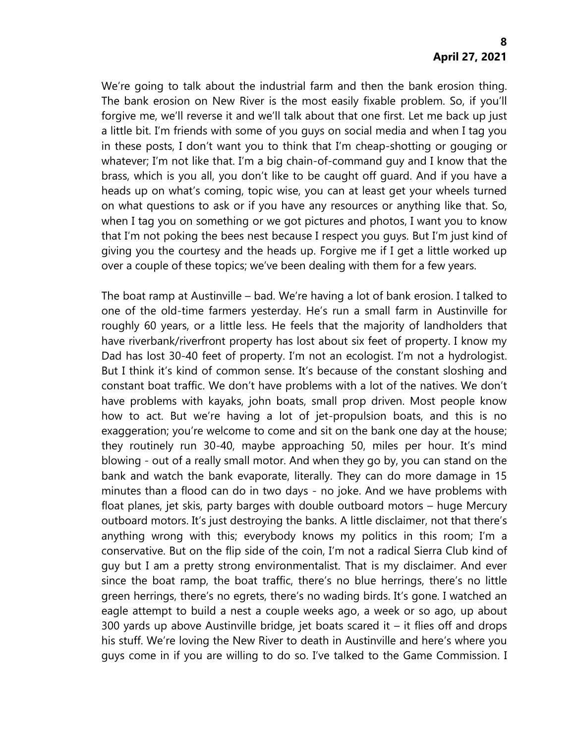We're going to talk about the industrial farm and then the bank erosion thing. The bank erosion on New River is the most easily fixable problem. So, if you'll forgive me, we'll reverse it and we'll talk about that one first. Let me back up just a little bit. I'm friends with some of you guys on social media and when I tag you in these posts, I don't want you to think that I'm cheap-shotting or gouging or whatever; I'm not like that. I'm a big chain-of-command guy and I know that the brass, which is you all, you don't like to be caught off guard. And if you have a heads up on what's coming, topic wise, you can at least get your wheels turned on what questions to ask or if you have any resources or anything like that. So, when I tag you on something or we got pictures and photos, I want you to know that I'm not poking the bees nest because I respect you guys. But I'm just kind of giving you the courtesy and the heads up. Forgive me if I get a little worked up over a couple of these topics; we've been dealing with them for a few years.

The boat ramp at Austinville – bad. We're having a lot of bank erosion. I talked to one of the old-time farmers yesterday. He's run a small farm in Austinville for roughly 60 years, or a little less. He feels that the majority of landholders that have riverbank/riverfront property has lost about six feet of property. I know my Dad has lost 30-40 feet of property. I'm not an ecologist. I'm not a hydrologist. But I think it's kind of common sense. It's because of the constant sloshing and constant boat traffic. We don't have problems with a lot of the natives. We don't have problems with kayaks, john boats, small prop driven. Most people know how to act. But we're having a lot of jet-propulsion boats, and this is no exaggeration; you're welcome to come and sit on the bank one day at the house; they routinely run 30-40, maybe approaching 50, miles per hour. It's mind blowing - out of a really small motor. And when they go by, you can stand on the bank and watch the bank evaporate, literally. They can do more damage in 15 minutes than a flood can do in two days - no joke. And we have problems with float planes, jet skis, party barges with double outboard motors – huge Mercury outboard motors. It's just destroying the banks. A little disclaimer, not that there's anything wrong with this; everybody knows my politics in this room; I'm a conservative. But on the flip side of the coin, I'm not a radical Sierra Club kind of guy but I am a pretty strong environmentalist. That is my disclaimer. And ever since the boat ramp, the boat traffic, there's no blue herrings, there's no little green herrings, there's no egrets, there's no wading birds. It's gone. I watched an eagle attempt to build a nest a couple weeks ago, a week or so ago, up about 300 yards up above Austinville bridge, jet boats scared it  $-$  it flies off and drops his stuff. We're loving the New River to death in Austinville and here's where you guys come in if you are willing to do so. I've talked to the Game Commission. I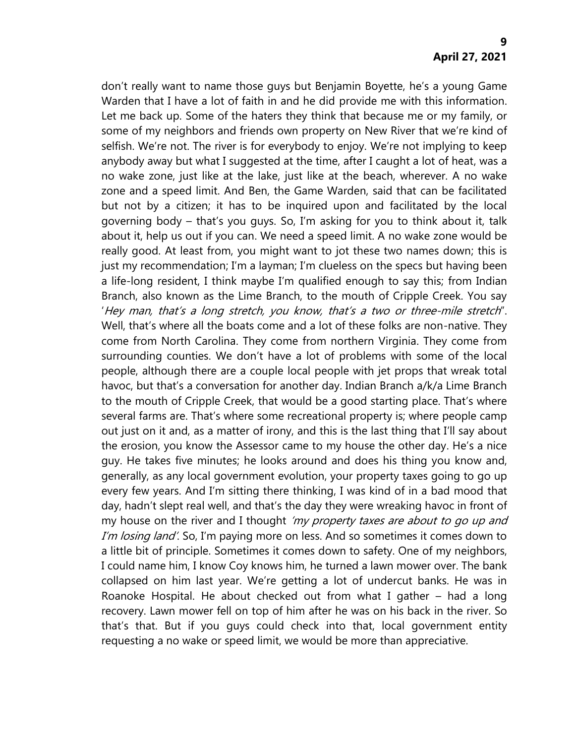don't really want to name those guys but Benjamin Boyette, he's a young Game Warden that I have a lot of faith in and he did provide me with this information. Let me back up. Some of the haters they think that because me or my family, or some of my neighbors and friends own property on New River that we're kind of selfish. We're not. The river is for everybody to enjoy. We're not implying to keep anybody away but what I suggested at the time, after I caught a lot of heat, was a no wake zone, just like at the lake, just like at the beach, wherever. A no wake zone and a speed limit. And Ben, the Game Warden, said that can be facilitated but not by a citizen; it has to be inquired upon and facilitated by the local governing body – that's you guys. So, I'm asking for you to think about it, talk about it, help us out if you can. We need a speed limit. A no wake zone would be really good. At least from, you might want to jot these two names down; this is just my recommendation; I'm a layman; I'm clueless on the specs but having been a life-long resident, I think maybe I'm qualified enough to say this; from Indian Branch, also known as the Lime Branch, to the mouth of Cripple Creek. You say 'Hey man, that's a long stretch, you know, that's a two or three-mile stretch". Well, that's where all the boats come and a lot of these folks are non-native. They come from North Carolina. They come from northern Virginia. They come from surrounding counties. We don't have a lot of problems with some of the local people, although there are a couple local people with jet props that wreak total havoc, but that's a conversation for another day. Indian Branch a/k/a Lime Branch to the mouth of Cripple Creek, that would be a good starting place. That's where several farms are. That's where some recreational property is; where people camp out just on it and, as a matter of irony, and this is the last thing that I'll say about the erosion, you know the Assessor came to my house the other day. He's a nice guy. He takes five minutes; he looks around and does his thing you know and, generally, as any local government evolution, your property taxes going to go up every few years. And I'm sitting there thinking, I was kind of in a bad mood that day, hadn't slept real well, and that's the day they were wreaking havoc in front of my house on the river and I thought 'my property taxes are about to go up and I'm losing land'. So, I'm paying more on less. And so sometimes it comes down to a little bit of principle. Sometimes it comes down to safety. One of my neighbors, I could name him, I know Coy knows him, he turned a lawn mower over. The bank collapsed on him last year. We're getting a lot of undercut banks. He was in Roanoke Hospital. He about checked out from what I gather – had a long recovery. Lawn mower fell on top of him after he was on his back in the river. So that's that. But if you guys could check into that, local government entity requesting a no wake or speed limit, we would be more than appreciative.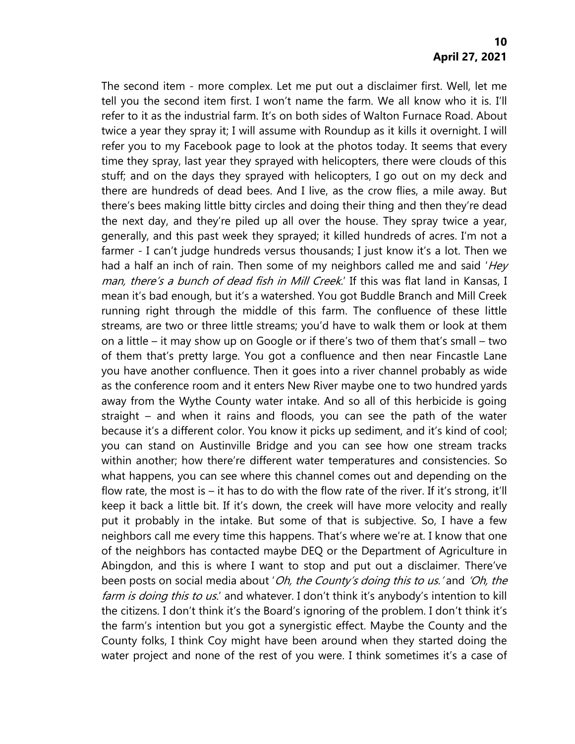The second item - more complex. Let me put out a disclaimer first. Well, let me tell you the second item first. I won't name the farm. We all know who it is. I'll refer to it as the industrial farm. It's on both sides of Walton Furnace Road. About twice a year they spray it; I will assume with Roundup as it kills it overnight. I will refer you to my Facebook page to look at the photos today. It seems that every time they spray, last year they sprayed with helicopters, there were clouds of this stuff; and on the days they sprayed with helicopters, I go out on my deck and there are hundreds of dead bees. And I live, as the crow flies, a mile away. But there's bees making little bitty circles and doing their thing and then they're dead the next day, and they're piled up all over the house. They spray twice a year, generally, and this past week they sprayed; it killed hundreds of acres. I'm not a farmer - I can't judge hundreds versus thousands; I just know it's a lot. Then we had a half an inch of rain. Then some of my neighbors called me and said 'Hey man, there's a bunch of dead fish in Mill Creek.' If this was flat land in Kansas, I mean it's bad enough, but it's a watershed. You got Buddle Branch and Mill Creek running right through the middle of this farm. The confluence of these little streams, are two or three little streams; you'd have to walk them or look at them on a little – it may show up on Google or if there's two of them that's small – two of them that's pretty large. You got a confluence and then near Fincastle Lane you have another confluence. Then it goes into a river channel probably as wide as the conference room and it enters New River maybe one to two hundred yards away from the Wythe County water intake. And so all of this herbicide is going straight – and when it rains and floods, you can see the path of the water because it's a different color. You know it picks up sediment, and it's kind of cool; you can stand on Austinville Bridge and you can see how one stream tracks within another; how there're different water temperatures and consistencies. So what happens, you can see where this channel comes out and depending on the flow rate, the most is  $-$  it has to do with the flow rate of the river. If it's strong, it'll keep it back a little bit. If it's down, the creek will have more velocity and really put it probably in the intake. But some of that is subjective. So, I have a few neighbors call me every time this happens. That's where we're at. I know that one of the neighbors has contacted maybe DEQ or the Department of Agriculture in Abingdon, and this is where I want to stop and put out a disclaimer. There've been posts on social media about 'Oh, the County's doing this to us.' and 'Oh, the farm is doing this to us.' and whatever. I don't think it's anybody's intention to kill the citizens. I don't think it's the Board's ignoring of the problem. I don't think it's the farm's intention but you got a synergistic effect. Maybe the County and the County folks, I think Coy might have been around when they started doing the water project and none of the rest of you were. I think sometimes it's a case of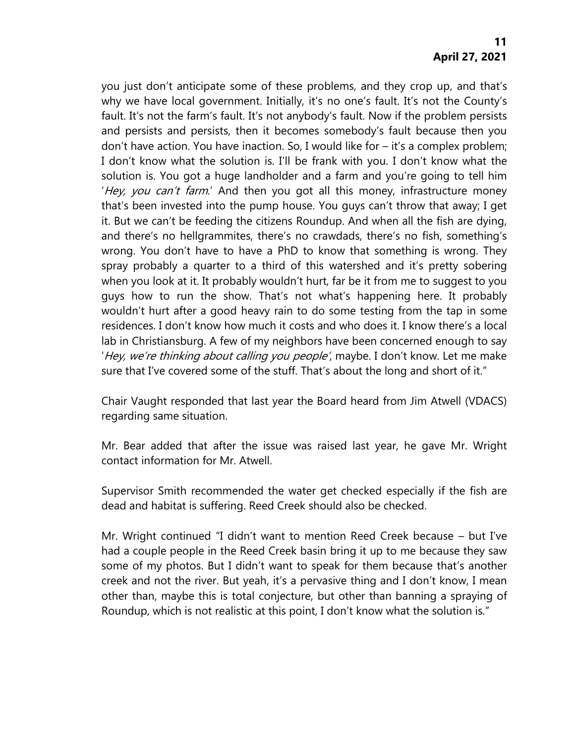you just don't anticipate some of these problems, and they crop up, and that's why we have local government. Initially, it's no one's fault. It's not the County's fault. It's not the farm's fault. It's not anybody's fault. Now if the problem persists and persists and persists, then it becomes somebody's fault because then you don't have action. You have inaction. So, I would like for – it's a complex problem; I don't know what the solution is. I'll be frank with you. I don't know what the solution is. You got a huge landholder and a farm and you're going to tell him 'Hey, you can't farm.' And then you got all this money, infrastructure money that's been invested into the pump house. You guys can't throw that away; I get it. But we can't be feeding the citizens Roundup. And when all the fish are dying, and there's no hellgrammites, there's no crawdads, there's no fish, something's wrong. You don't have to have a PhD to know that something is wrong. They spray probably a quarter to a third of this watershed and it's pretty sobering when you look at it. It probably wouldn't hurt, far be it from me to suggest to you guys how to run the show. That's not what's happening here. It probably wouldn't hurt after a good heavy rain to do some testing from the tap in some residences. I don't know how much it costs and who does it. I know there's a local lab in Christiansburg. A few of my neighbors have been concerned enough to say 'Hey, we're thinking about calling you people', maybe. I don't know. Let me make sure that I've covered some of the stuff. That's about the long and short of it."

Chair Vaught responded that last year the Board heard from Jim Atwell (VDACS) regarding same situation.

Mr. Bear added that after the issue was raised last year, he gave Mr. Wright contact information for Mr. Atwell.

Supervisor Smith recommended the water get checked especially if the fish are dead and habitat is suffering. Reed Creek should also be checked.

Mr. Wright continued "I didn't want to mention Reed Creek because – but I've had a couple people in the Reed Creek basin bring it up to me because they saw some of my photos. But I didn't want to speak for them because that's another creek and not the river. But yeah, it's a pervasive thing and I don't know, I mean other than, maybe this is total conjecture, but other than banning a spraying of Roundup, which is not realistic at this point, I don't know what the solution is."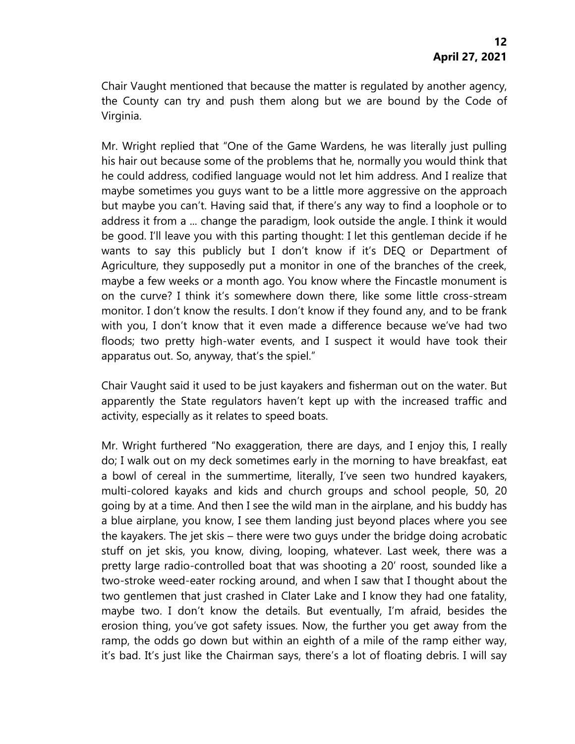Chair Vaught mentioned that because the matter is regulated by another agency, the County can try and push them along but we are bound by the Code of Virginia.

Mr. Wright replied that "One of the Game Wardens, he was literally just pulling his hair out because some of the problems that he, normally you would think that he could address, codified language would not let him address. And I realize that maybe sometimes you guys want to be a little more aggressive on the approach but maybe you can't. Having said that, if there's any way to find a loophole or to address it from a ... change the paradigm, look outside the angle. I think it would be good. I'll leave you with this parting thought: I let this gentleman decide if he wants to say this publicly but I don't know if it's DEQ or Department of Agriculture, they supposedly put a monitor in one of the branches of the creek, maybe a few weeks or a month ago. You know where the Fincastle monument is on the curve? I think it's somewhere down there, like some little cross-stream monitor. I don't know the results. I don't know if they found any, and to be frank with you, I don't know that it even made a difference because we've had two floods; two pretty high-water events, and I suspect it would have took their apparatus out. So, anyway, that's the spiel."

Chair Vaught said it used to be just kayakers and fisherman out on the water. But apparently the State regulators haven't kept up with the increased traffic and activity, especially as it relates to speed boats.

Mr. Wright furthered "No exaggeration, there are days, and I enjoy this, I really do; I walk out on my deck sometimes early in the morning to have breakfast, eat a bowl of cereal in the summertime, literally, I've seen two hundred kayakers, multi-colored kayaks and kids and church groups and school people, 50, 20 going by at a time. And then I see the wild man in the airplane, and his buddy has a blue airplane, you know, I see them landing just beyond places where you see the kayakers. The jet skis – there were two guys under the bridge doing acrobatic stuff on jet skis, you know, diving, looping, whatever. Last week, there was a pretty large radio-controlled boat that was shooting a 20' roost, sounded like a two-stroke weed-eater rocking around, and when I saw that I thought about the two gentlemen that just crashed in Clater Lake and I know they had one fatality, maybe two. I don't know the details. But eventually, I'm afraid, besides the erosion thing, you've got safety issues. Now, the further you get away from the ramp, the odds go down but within an eighth of a mile of the ramp either way, it's bad. It's just like the Chairman says, there's a lot of floating debris. I will say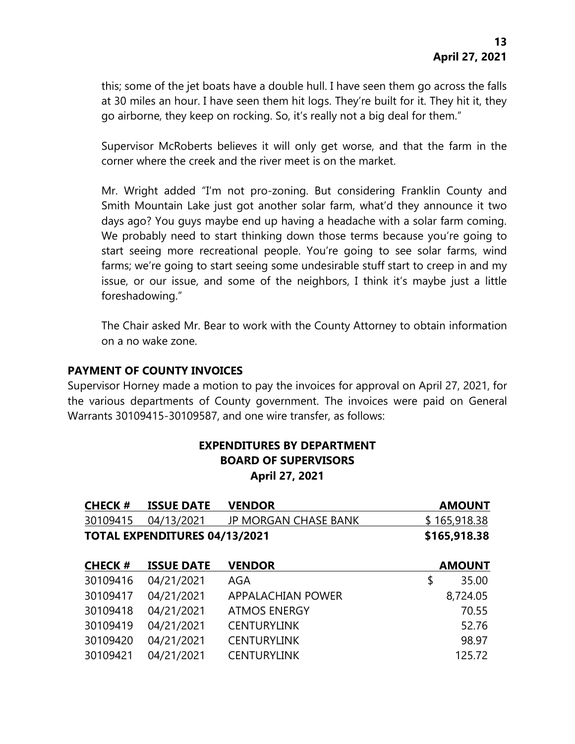this; some of the jet boats have a double hull. I have seen them go across the falls at 30 miles an hour. I have seen them hit logs. They're built for it. They hit it, they go airborne, they keep on rocking. So, it's really not a big deal for them."

Supervisor McRoberts believes it will only get worse, and that the farm in the corner where the creek and the river meet is on the market.

Mr. Wright added "I'm not pro-zoning. But considering Franklin County and Smith Mountain Lake just got another solar farm, what'd they announce it two days ago? You guys maybe end up having a headache with a solar farm coming. We probably need to start thinking down those terms because you're going to start seeing more recreational people. You're going to see solar farms, wind farms; we're going to start seeing some undesirable stuff start to creep in and my issue, or our issue, and some of the neighbors, I think it's maybe just a little foreshadowing."

The Chair asked Mr. Bear to work with the County Attorney to obtain information on a no wake zone.

#### **PAYMENT OF COUNTY INVOICES**

Supervisor Horney made a motion to pay the invoices for approval on April 27, 2021, for the various departments of County government. The invoices were paid on General Warrants 30109415-30109587, and one wire transfer, as follows:

# **EXPENDITURES BY DEPARTMENT BOARD OF SUPERVISORS April 27, 2021**

| <b>CHECK#</b> | <b>ISSUE DATE</b>                    | <b>VENDOR</b>               | <b>AMOUNT</b> |
|---------------|--------------------------------------|-----------------------------|---------------|
| 30109415      | 04/13/2021                           | <b>JP MORGAN CHASE BANK</b> | \$165,918.38  |
|               | <b>TOTAL EXPENDITURES 04/13/2021</b> |                             | \$165,918.38  |
| <b>CHECK#</b> | <b>ISSUE DATE</b>                    | <b>VENDOR</b>               | <b>AMOUNT</b> |
| 30109416      | 04/21/2021                           | AGA                         | \$<br>35.00   |
| 30109417      | 04/21/2021                           | <b>APPALACHIAN POWER</b>    | 8,724.05      |
| 30109418      | 04/21/2021                           | <b>ATMOS ENERGY</b>         | 70.55         |
| 30109419      | 04/21/2021                           | <b>CENTURYLINK</b>          | 52.76         |
| 30109420      | 04/21/2021                           | <b>CENTURYLINK</b>          | 98.97         |
| 30109421      | 04/21/2021                           | <b>CENTURYLINK</b>          | 125.72        |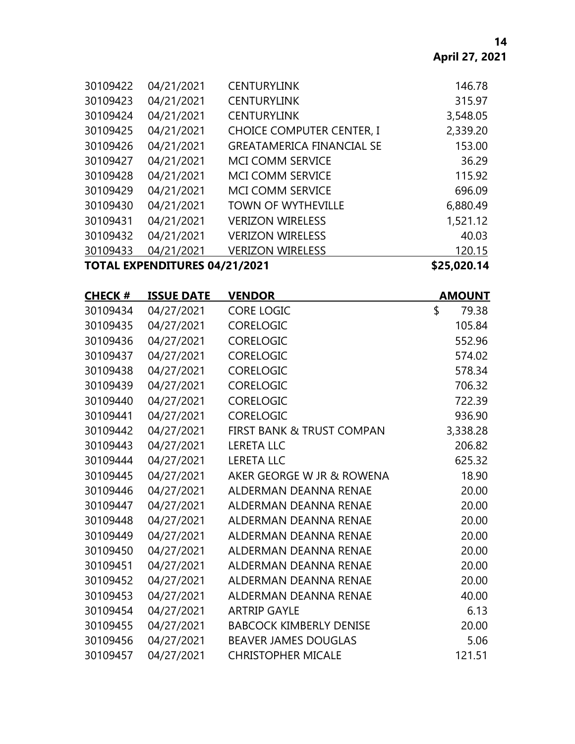| <b>TOTAL EXPENDITURES 04/21/2021</b> |            |                                  | \$25,020.14 |
|--------------------------------------|------------|----------------------------------|-------------|
| 30109433                             | 04/21/2021 | <b>VERIZON WIRELESS</b>          | 120.15      |
| 30109432                             | 04/21/2021 | <b>VERIZON WIRELESS</b>          | 40.03       |
| 30109431                             | 04/21/2021 | <b>VERIZON WIRELESS</b>          | 1,521.12    |
| 30109430                             | 04/21/2021 | <b>TOWN OF WYTHEVILLE</b>        | 6,880.49    |
| 30109429                             | 04/21/2021 | <b>MCI COMM SERVICE</b>          | 696.09      |
| 30109428                             | 04/21/2021 | <b>MCI COMM SERVICE</b>          | 115.92      |
| 30109427                             | 04/21/2021 | MCI COMM SERVICE                 | 36.29       |
| 30109426                             | 04/21/2021 | <b>GREATAMERICA FINANCIAL SE</b> | 153.00      |
| 30109425                             | 04/21/2021 | <b>CHOICE COMPUTER CENTER, I</b> | 2,339.20    |
| 30109424                             | 04/21/2021 | <b>CENTURYLINK</b>               | 3,548.05    |
| 30109423                             | 04/21/2021 | <b>CENTURYLINK</b>               | 315.97      |
| 30109422                             | 04/21/2021 | <b>CENTURYLINK</b>               | 146.78      |
|                                      |            |                                  |             |

| <b>CHECK#</b> | <b>ISSUE DATE</b> | <b>VENDOR</b>                        | <b>AMOUNT</b> |
|---------------|-------------------|--------------------------------------|---------------|
| 30109434      | 04/27/2021        | <b>CORE LOGIC</b>                    | \$<br>79.38   |
| 30109435      | 04/27/2021        | <b>CORELOGIC</b>                     | 105.84        |
| 30109436      | 04/27/2021        | <b>CORELOGIC</b>                     | 552.96        |
| 30109437      | 04/27/2021        | <b>CORELOGIC</b>                     | 574.02        |
| 30109438      | 04/27/2021        | <b>CORELOGIC</b>                     | 578.34        |
| 30109439      | 04/27/2021        | <b>CORELOGIC</b>                     | 706.32        |
| 30109440      | 04/27/2021        | CORELOGIC                            | 722.39        |
| 30109441      | 04/27/2021        | <b>CORELOGIC</b>                     | 936.90        |
| 30109442      | 04/27/2021        | <b>FIRST BANK &amp; TRUST COMPAN</b> | 3,338.28      |
| 30109443      | 04/27/2021        | <b>LERETA LLC</b>                    | 206.82        |
| 30109444      | 04/27/2021        | <b>LERETA LLC</b>                    | 625.32        |
| 30109445      | 04/27/2021        | AKER GEORGE W JR & ROWENA            | 18.90         |
| 30109446      | 04/27/2021        | ALDERMAN DEANNA RENAE                | 20.00         |
| 30109447      | 04/27/2021        | <b>ALDERMAN DEANNA RENAE</b>         | 20.00         |
| 30109448      | 04/27/2021        | ALDERMAN DEANNA RENAE                | 20.00         |
| 30109449      | 04/27/2021        | ALDERMAN DEANNA RENAE                | 20.00         |
| 30109450      | 04/27/2021        | ALDERMAN DEANNA RENAE                | 20.00         |
| 30109451      | 04/27/2021        | <b>ALDERMAN DEANNA RENAE</b>         | 20.00         |
| 30109452      | 04/27/2021        | <b>ALDERMAN DEANNA RENAE</b>         | 20.00         |
| 30109453      | 04/27/2021        | <b>ALDERMAN DEANNA RENAE</b>         | 40.00         |
| 30109454      | 04/27/2021        | <b>ARTRIP GAYLE</b>                  | 6.13          |
| 30109455      | 04/27/2021        | <b>BABCOCK KIMBERLY DENISE</b>       | 20.00         |
| 30109456      | 04/27/2021        | <b>BEAVER JAMES DOUGLAS</b>          | 5.06          |
| 30109457      | 04/27/2021        | <b>CHRISTOPHER MICALE</b>            | 121.51        |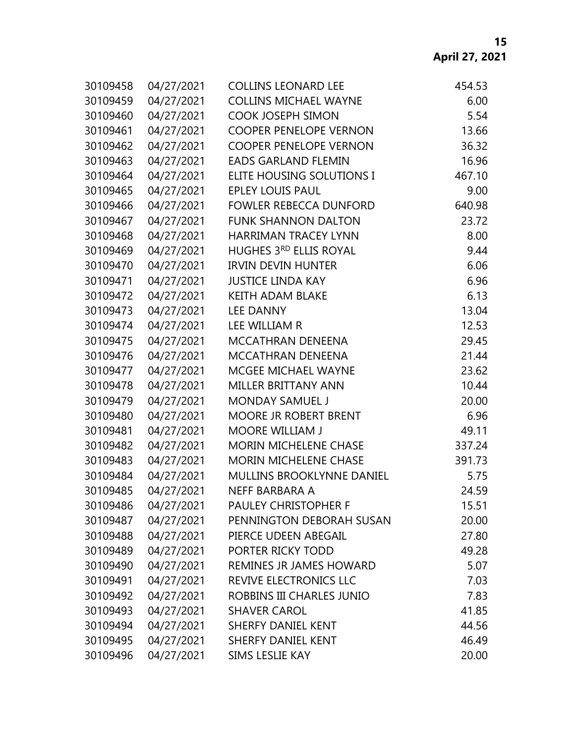| 30109458 | 04/27/2021 | <b>COLLINS LEONARD LEE</b>    | 454.53 |
|----------|------------|-------------------------------|--------|
| 30109459 | 04/27/2021 | <b>COLLINS MICHAEL WAYNE</b>  | 6.00   |
| 30109460 | 04/27/2021 | <b>COOK JOSEPH SIMON</b>      | 5.54   |
| 30109461 | 04/27/2021 | <b>COOPER PENELOPE VERNON</b> | 13.66  |
| 30109462 | 04/27/2021 | <b>COOPER PENELOPE VERNON</b> | 36.32  |
| 30109463 | 04/27/2021 | <b>EADS GARLAND FLEMIN</b>    | 16.96  |
| 30109464 | 04/27/2021 | ELITE HOUSING SOLUTIONS I     | 467.10 |
| 30109465 | 04/27/2021 | <b>EPLEY LOUIS PAUL</b>       | 9.00   |
| 30109466 | 04/27/2021 | <b>FOWLER REBECCA DUNFORD</b> | 640.98 |
| 30109467 | 04/27/2021 | <b>FUNK SHANNON DALTON</b>    | 23.72  |
| 30109468 | 04/27/2021 | <b>HARRIMAN TRACEY LYNN</b>   | 8.00   |
| 30109469 | 04/27/2021 | HUGHES 3RD ELLIS ROYAL        | 9.44   |
| 30109470 | 04/27/2021 | <b>IRVIN DEVIN HUNTER</b>     | 6.06   |
| 30109471 | 04/27/2021 | <b>JUSTICE LINDA KAY</b>      | 6.96   |
| 30109472 | 04/27/2021 | <b>KEITH ADAM BLAKE</b>       | 6.13   |
| 30109473 | 04/27/2021 | <b>LEE DANNY</b>              | 13.04  |
| 30109474 | 04/27/2021 | LEE WILLIAM R                 | 12.53  |
| 30109475 | 04/27/2021 | MCCATHRAN DENEENA             | 29.45  |
| 30109476 | 04/27/2021 | <b>MCCATHRAN DENEENA</b>      | 21.44  |
| 30109477 | 04/27/2021 | MCGEE MICHAEL WAYNE           | 23.62  |
| 30109478 | 04/27/2021 | MILLER BRITTANY ANN           | 10.44  |
| 30109479 | 04/27/2021 | <b>MONDAY SAMUEL J</b>        | 20.00  |
| 30109480 | 04/27/2021 | <b>MOORE JR ROBERT BRENT</b>  | 6.96   |
| 30109481 | 04/27/2021 | <b>MOORE WILLIAM J</b>        | 49.11  |
| 30109482 | 04/27/2021 | <b>MORIN MICHELENE CHASE</b>  | 337.24 |
| 30109483 | 04/27/2021 | <b>MORIN MICHELENE CHASE</b>  | 391.73 |
| 30109484 | 04/27/2021 | MULLINS BROOKLYNNE DANIEL     | 5.75   |
| 30109485 | 04/27/2021 | NEFF BARBARA A                | 24.59  |
| 30109486 | 04/27/2021 | <b>PAULEY CHRISTOPHER F</b>   | 15.51  |
| 30109487 | 04/27/2021 | PENNINGTON DEBORAH SUSAN      | 20.00  |
| 30109488 | 04/27/2021 | PIERCE UDEEN ABEGAIL          | 27.80  |
| 30109489 | 04/27/2021 | PORTER RICKY TODD             | 49.28  |
| 30109490 | 04/27/2021 | REMINES JR JAMES HOWARD       | 5.07   |
| 30109491 | 04/27/2021 | REVIVE ELECTRONICS LLC        | 7.03   |
| 30109492 | 04/27/2021 | ROBBINS III CHARLES JUNIO     | 7.83   |
| 30109493 | 04/27/2021 | <b>SHAVER CAROL</b>           | 41.85  |
| 30109494 | 04/27/2021 | <b>SHERFY DANIEL KENT</b>     | 44.56  |
| 30109495 | 04/27/2021 | <b>SHERFY DANIEL KENT</b>     | 46.49  |
| 30109496 | 04/27/2021 | SIMS LESLIE KAY               | 20.00  |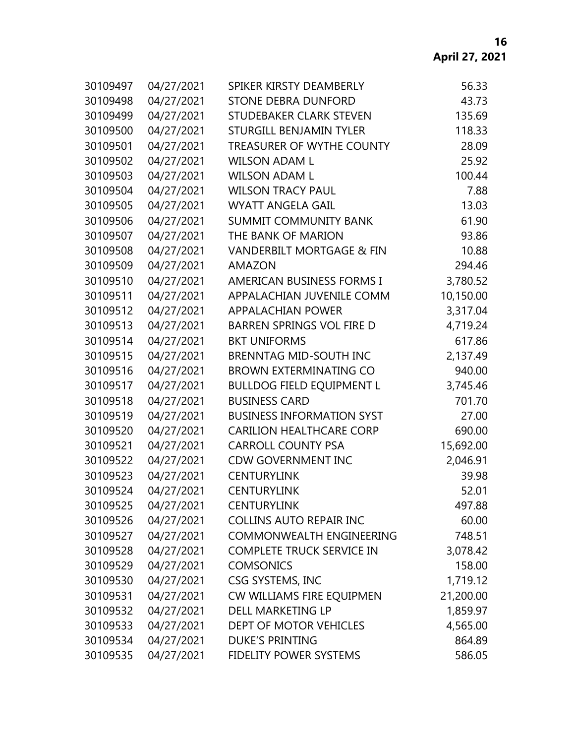| 30109497 | 04/27/2021 | SPIKER KIRSTY DEAMBERLY              | 56.33     |
|----------|------------|--------------------------------------|-----------|
| 30109498 | 04/27/2021 | <b>STONE DEBRA DUNFORD</b>           | 43.73     |
| 30109499 | 04/27/2021 | STUDEBAKER CLARK STEVEN              | 135.69    |
| 30109500 | 04/27/2021 | <b>STURGILL BENJAMIN TYLER</b>       | 118.33    |
| 30109501 | 04/27/2021 | <b>TREASURER OF WYTHE COUNTY</b>     | 28.09     |
| 30109502 | 04/27/2021 | <b>WILSON ADAM L</b>                 | 25.92     |
| 30109503 | 04/27/2021 | <b>WILSON ADAM L</b>                 | 100.44    |
| 30109504 | 04/27/2021 | <b>WILSON TRACY PAUL</b>             | 7.88      |
| 30109505 | 04/27/2021 | <b>WYATT ANGELA GAIL</b>             | 13.03     |
| 30109506 | 04/27/2021 | <b>SUMMIT COMMUNITY BANK</b>         | 61.90     |
| 30109507 | 04/27/2021 | THE BANK OF MARION                   | 93.86     |
| 30109508 | 04/27/2021 | <b>VANDERBILT MORTGAGE &amp; FIN</b> | 10.88     |
| 30109509 | 04/27/2021 | <b>AMAZON</b>                        | 294.46    |
| 30109510 | 04/27/2021 | <b>AMERICAN BUSINESS FORMS I</b>     | 3,780.52  |
| 30109511 | 04/27/2021 | APPALACHIAN JUVENILE COMM            | 10,150.00 |
| 30109512 | 04/27/2021 | <b>APPALACHIAN POWER</b>             | 3,317.04  |
| 30109513 | 04/27/2021 | <b>BARREN SPRINGS VOL FIRE D</b>     | 4,719.24  |
| 30109514 | 04/27/2021 | <b>BKT UNIFORMS</b>                  | 617.86    |
| 30109515 | 04/27/2021 | <b>BRENNTAG MID-SOUTH INC</b>        | 2,137.49  |
| 30109516 | 04/27/2021 | <b>BROWN EXTERMINATING CO</b>        | 940.00    |
| 30109517 | 04/27/2021 | <b>BULLDOG FIELD EQUIPMENT L</b>     | 3,745.46  |
| 30109518 | 04/27/2021 | <b>BUSINESS CARD</b>                 | 701.70    |
| 30109519 | 04/27/2021 | <b>BUSINESS INFORMATION SYST</b>     | 27.00     |
| 30109520 | 04/27/2021 | <b>CARILION HEALTHCARE CORP</b>      | 690.00    |
| 30109521 | 04/27/2021 | <b>CARROLL COUNTY PSA</b>            | 15,692.00 |
| 30109522 | 04/27/2021 | <b>CDW GOVERNMENT INC</b>            | 2,046.91  |
| 30109523 | 04/27/2021 | <b>CENTURYLINK</b>                   | 39.98     |
| 30109524 | 04/27/2021 | <b>CENTURYLINK</b>                   | 52.01     |
| 30109525 | 04/27/2021 | <b>CENTURYLINK</b>                   | 497.88    |
| 30109526 | 04/27/2021 | <b>COLLINS AUTO REPAIR INC</b>       | 60.00     |
| 30109527 | 04/27/2021 | <b>COMMONWEALTH ENGINEERING</b>      | 748.51    |
| 30109528 | 04/27/2021 | <b>COMPLETE TRUCK SERVICE IN</b>     | 3,078.42  |
| 30109529 | 04/27/2021 | <b>COMSONICS</b>                     | 158.00    |
| 30109530 | 04/27/2021 | CSG SYSTEMS, INC                     | 1,719.12  |
| 30109531 | 04/27/2021 | CW WILLIAMS FIRE EQUIPMEN            | 21,200.00 |
| 30109532 | 04/27/2021 | DELL MARKETING LP                    | 1,859.97  |
| 30109533 | 04/27/2021 | DEPT OF MOTOR VEHICLES               | 4,565.00  |
| 30109534 | 04/27/2021 | <b>DUKE'S PRINTING</b>               | 864.89    |
| 30109535 | 04/27/2021 | <b>FIDELITY POWER SYSTEMS</b>        | 586.05    |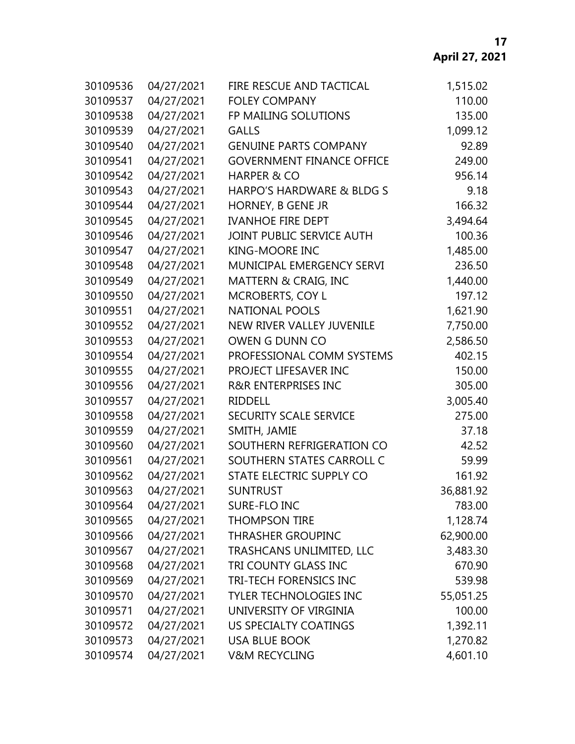| 30109536 | 04/27/2021 | FIRE RESCUE AND TACTICAL         | 1,515.02  |
|----------|------------|----------------------------------|-----------|
| 30109537 | 04/27/2021 | <b>FOLEY COMPANY</b>             | 110.00    |
| 30109538 | 04/27/2021 | FP MAILING SOLUTIONS             | 135.00    |
| 30109539 | 04/27/2021 | <b>GALLS</b>                     | 1,099.12  |
| 30109540 | 04/27/2021 | <b>GENUINE PARTS COMPANY</b>     | 92.89     |
| 30109541 | 04/27/2021 | <b>GOVERNMENT FINANCE OFFICE</b> | 249.00    |
| 30109542 | 04/27/2021 | <b>HARPER &amp; CO</b>           | 956.14    |
| 30109543 | 04/27/2021 | HARPO'S HARDWARE & BLDG S        | 9.18      |
| 30109544 | 04/27/2021 | HORNEY, B GENE JR                | 166.32    |
| 30109545 | 04/27/2021 | <b>IVANHOE FIRE DEPT</b>         | 3,494.64  |
| 30109546 | 04/27/2021 | JOINT PUBLIC SERVICE AUTH        | 100.36    |
| 30109547 | 04/27/2021 | <b>KING-MOORE INC</b>            | 1,485.00  |
| 30109548 | 04/27/2021 | MUNICIPAL EMERGENCY SERVI        | 236.50    |
| 30109549 | 04/27/2021 | MATTERN & CRAIG, INC             | 1,440.00  |
| 30109550 | 04/27/2021 | <b>MCROBERTS, COY L</b>          | 197.12    |
| 30109551 | 04/27/2021 | <b>NATIONAL POOLS</b>            | 1,621.90  |
| 30109552 | 04/27/2021 | NEW RIVER VALLEY JUVENILE        | 7,750.00  |
| 30109553 | 04/27/2021 | OWEN G DUNN CO                   | 2,586.50  |
| 30109554 | 04/27/2021 | PROFESSIONAL COMM SYSTEMS        | 402.15    |
| 30109555 | 04/27/2021 | PROJECT LIFESAVER INC            | 150.00    |
| 30109556 | 04/27/2021 | <b>R&amp;R ENTERPRISES INC</b>   | 305.00    |
| 30109557 | 04/27/2021 | <b>RIDDELL</b>                   | 3,005.40  |
| 30109558 | 04/27/2021 | <b>SECURITY SCALE SERVICE</b>    | 275.00    |
| 30109559 | 04/27/2021 | SMITH, JAMIE                     | 37.18     |
| 30109560 | 04/27/2021 | SOUTHERN REFRIGERATION CO        | 42.52     |
| 30109561 | 04/27/2021 | SOUTHERN STATES CARROLL C        | 59.99     |
| 30109562 | 04/27/2021 | STATE ELECTRIC SUPPLY CO         | 161.92    |
| 30109563 | 04/27/2021 | <b>SUNTRUST</b>                  | 36,881.92 |
| 30109564 | 04/27/2021 | SURE-FLO INC                     | 783.00    |
| 30109565 | 04/27/2021 | <b>THOMPSON TIRE</b>             | 1,128.74  |
| 30109566 | 04/27/2021 | <b>THRASHER GROUPINC</b>         | 62,900.00 |
| 30109567 | 04/27/2021 | TRASHCANS UNLIMITED, LLC         | 3,483.30  |
| 30109568 | 04/27/2021 | TRI COUNTY GLASS INC             | 670.90    |
| 30109569 | 04/27/2021 | <b>TRI-TECH FORENSICS INC</b>    | 539.98    |
| 30109570 | 04/27/2021 | <b>TYLER TECHNOLOGIES INC</b>    | 55,051.25 |
| 30109571 | 04/27/2021 | UNIVERSITY OF VIRGINIA           | 100.00    |
| 30109572 | 04/27/2021 | <b>US SPECIALTY COATINGS</b>     | 1,392.11  |
| 30109573 | 04/27/2021 | <b>USA BLUE BOOK</b>             | 1,270.82  |
| 30109574 | 04/27/2021 | <b>V&amp;M RECYCLING</b>         | 4,601.10  |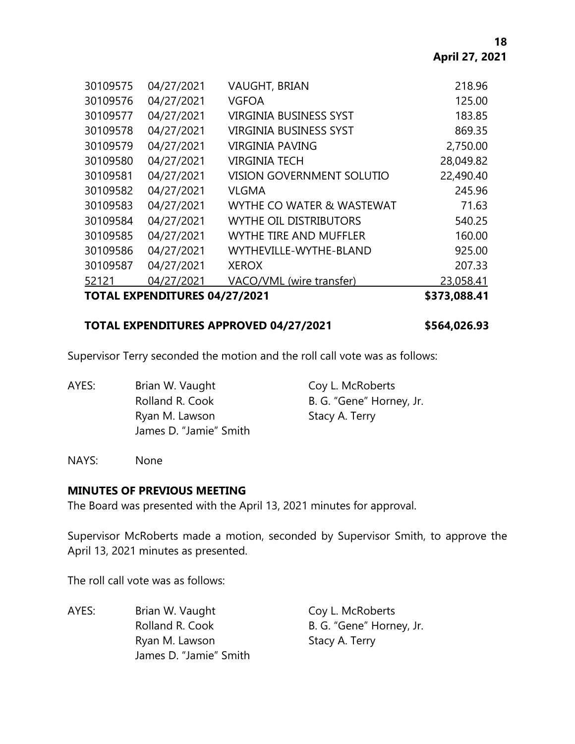| <b>TOTAL EXPENDITURES 04/27/2021</b> |            |                                  | \$373,088.41 |
|--------------------------------------|------------|----------------------------------|--------------|
| 52121                                | 04/27/2021 | VACO/VML (wire transfer)         | 23,058.41    |
| 30109587                             | 04/27/2021 | <b>XEROX</b>                     | 207.33       |
| 30109586                             | 04/27/2021 | WYTHEVILLE-WYTHE-BLAND           | 925.00       |
| 30109585                             | 04/27/2021 | <b>WYTHE TIRE AND MUFFLER</b>    | 160.00       |
| 30109584                             | 04/27/2021 | <b>WYTHE OIL DISTRIBUTORS</b>    | 540.25       |
| 30109583                             | 04/27/2021 | WYTHE CO WATER & WASTEWAT        | 71.63        |
| 30109582                             | 04/27/2021 | <b>VLGMA</b>                     | 245.96       |
| 30109581                             | 04/27/2021 | <b>VISION GOVERNMENT SOLUTIO</b> | 22,490.40    |
| 30109580                             | 04/27/2021 | <b>VIRGINIA TECH</b>             | 28,049.82    |
| 30109579                             | 04/27/2021 | VIRGINIA PAVING                  | 2,750.00     |
| 30109578                             | 04/27/2021 | <b>VIRGINIA BUSINESS SYST</b>    | 869.35       |
| 30109577                             | 04/27/2021 | <b>VIRGINIA BUSINESS SYST</b>    | 183.85       |
| 30109576                             | 04/27/2021 | <b>VGFOA</b>                     | 125.00       |
| 30109575                             | 04/27/2021 | <b>VAUGHT, BRIAN</b>             | 218.96       |
|                                      |            |                                  |              |

#### **TOTAL EXPENDITURES APPROVED 04/27/2021 \$564,026.93**

Supervisor Terry seconded the motion and the roll call vote was as follows:

AYES: Brian W. Vaught Coy L. McRoberts Rolland R. Cook B. G. "Gene" Horney, Jr. Ryan M. Lawson Stacy A. Terry James D. "Jamie" Smith

NAYS: None

#### **MINUTES OF PREVIOUS MEETING**

The Board was presented with the April 13, 2021 minutes for approval.

Supervisor McRoberts made a motion, seconded by Supervisor Smith, to approve the April 13, 2021 minutes as presented.

The roll call vote was as follows:

AYES: Brian W. Vaught Coy L. McRoberts Rolland R. Cook B. G. "Gene" Horney, Jr. Ryan M. Lawson Stacy A. Terry James D. "Jamie" Smith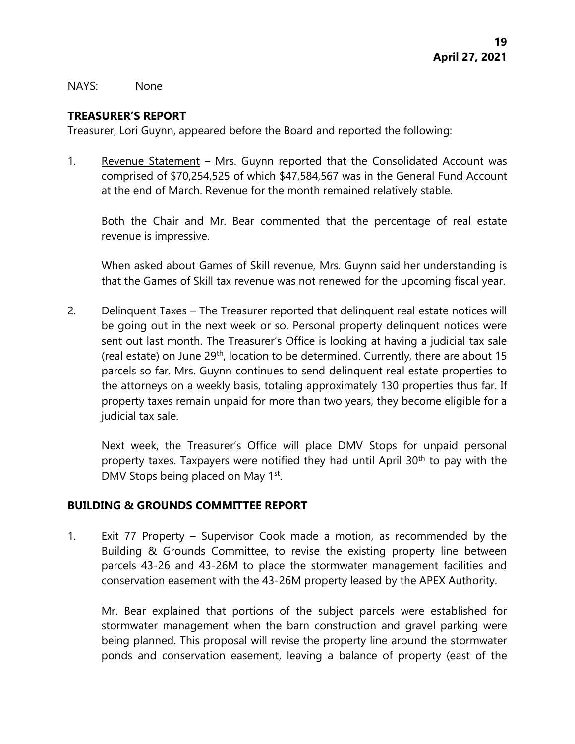NAYS: None

#### **TREASURER'S REPORT**

Treasurer, Lori Guynn, appeared before the Board and reported the following:

1. Revenue Statement – Mrs. Guynn reported that the Consolidated Account was comprised of \$70,254,525 of which \$47,584,567 was in the General Fund Account at the end of March. Revenue for the month remained relatively stable.

Both the Chair and Mr. Bear commented that the percentage of real estate revenue is impressive.

When asked about Games of Skill revenue, Mrs. Guynn said her understanding is that the Games of Skill tax revenue was not renewed for the upcoming fiscal year.

2. Delinquent Taxes – The Treasurer reported that delinquent real estate notices will be going out in the next week or so. Personal property delinquent notices were sent out last month. The Treasurer's Office is looking at having a judicial tax sale (real estate) on June 29th, location to be determined. Currently, there are about 15 parcels so far. Mrs. Guynn continues to send delinquent real estate properties to the attorneys on a weekly basis, totaling approximately 130 properties thus far. If property taxes remain unpaid for more than two years, they become eligible for a judicial tax sale.

Next week, the Treasurer's Office will place DMV Stops for unpaid personal property taxes. Taxpayers were notified they had until April 30<sup>th</sup> to pay with the DMV Stops being placed on May 1st.

#### **BUILDING & GROUNDS COMMITTEE REPORT**

1. Exit 77 Property – Supervisor Cook made a motion, as recommended by the Building & Grounds Committee, to revise the existing property line between parcels 43-26 and 43-26M to place the stormwater management facilities and conservation easement with the 43-26M property leased by the APEX Authority.

Mr. Bear explained that portions of the subject parcels were established for stormwater management when the barn construction and gravel parking were being planned. This proposal will revise the property line around the stormwater ponds and conservation easement, leaving a balance of property (east of the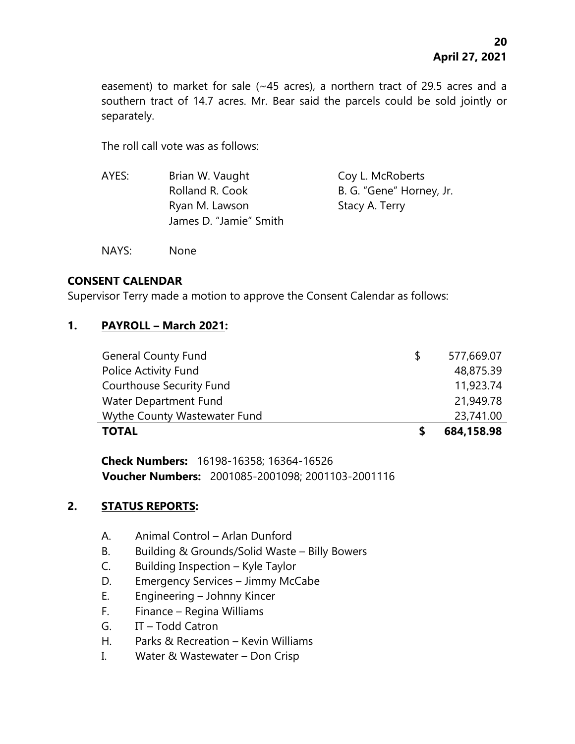easement) to market for sale (~45 acres), a northern tract of 29.5 acres and a southern tract of 14.7 acres. Mr. Bear said the parcels could be sold jointly or separately.

The roll call vote was as follows:

| Brian W. Vaught        | Coy L. McRoberts         |
|------------------------|--------------------------|
| Rolland R. Cook        | B. G. "Gene" Horney, Jr. |
| Ryan M. Lawson         | Stacy A. Terry           |
| James D. "Jamie" Smith |                          |
|                        |                          |

NAYS: None

# **CONSENT CALENDAR**

Supervisor Terry made a motion to approve the Consent Calendar as follows:

# **1. PAYROLL – March 2021:**

| <b>TOTAL</b>                    |    | 684,158.98 |
|---------------------------------|----|------------|
| Wythe County Wastewater Fund    |    | 23,741.00  |
| Water Department Fund           |    | 21,949.78  |
| <b>Courthouse Security Fund</b> |    | 11,923.74  |
| Police Activity Fund            |    | 48,875.39  |
| <b>General County Fund</b>      | -S | 577,669.07 |

**Check Numbers:** 16198-16358; 16364-16526 **Voucher Numbers:** 2001085-2001098; 2001103-2001116

# **2. STATUS REPORTS:**

- A. Animal Control Arlan Dunford
- B. Building & Grounds/Solid Waste Billy Bowers
- C. Building Inspection Kyle Taylor
- D. Emergency Services Jimmy McCabe
- E. Engineering Johnny Kincer
- F. Finance Regina Williams
- G. IT Todd Catron
- H. Parks & Recreation Kevin Williams
- I. Water & Wastewater Don Crisp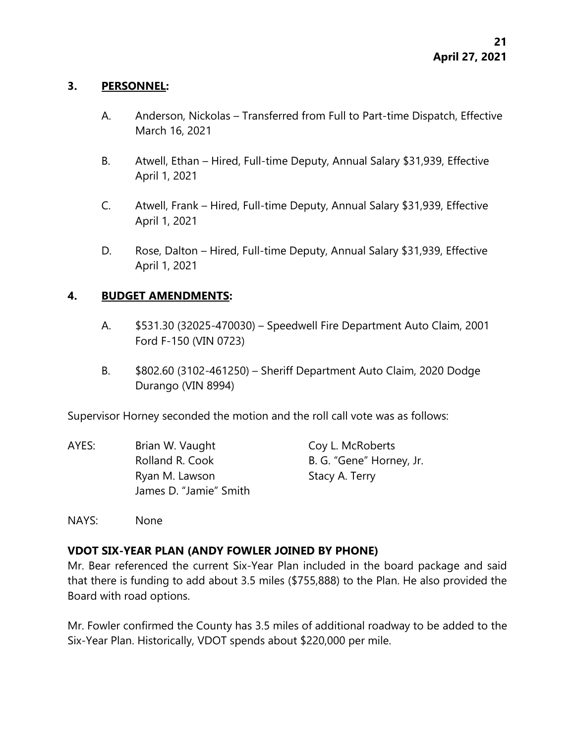#### **3. PERSONNEL:**

- A. Anderson, Nickolas Transferred from Full to Part-time Dispatch, Effective March 16, 2021
- B. Atwell, Ethan Hired, Full-time Deputy, Annual Salary \$31,939, Effective April 1, 2021
- C. Atwell, Frank Hired, Full-time Deputy, Annual Salary \$31,939, Effective April 1, 2021
- D. Rose, Dalton Hired, Full-time Deputy, Annual Salary \$31,939, Effective April 1, 2021

#### **4. BUDGET AMENDMENTS:**

- A. \$531.30 (32025-470030) Speedwell Fire Department Auto Claim, 2001 Ford F-150 (VIN 0723)
- B. \$802.60 (3102-461250) Sheriff Department Auto Claim, 2020 Dodge Durango (VIN 8994)

Supervisor Horney seconded the motion and the roll call vote was as follows:

| AYES: | Brian W. Vaught        | Coy L. McRoberts         |
|-------|------------------------|--------------------------|
|       | Rolland R. Cook        | B. G. "Gene" Horney, Jr. |
|       | Ryan M. Lawson         | Stacy A. Terry           |
|       | James D. "Jamie" Smith |                          |

NAYS: None

# **VDOT SIX-YEAR PLAN (ANDY FOWLER JOINED BY PHONE)**

Mr. Bear referenced the current Six-Year Plan included in the board package and said that there is funding to add about 3.5 miles (\$755,888) to the Plan. He also provided the Board with road options.

Mr. Fowler confirmed the County has 3.5 miles of additional roadway to be added to the Six-Year Plan. Historically, VDOT spends about \$220,000 per mile.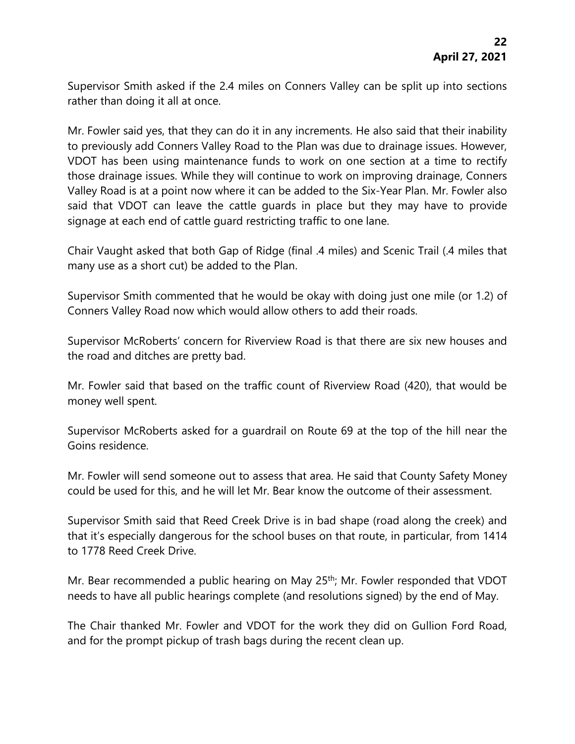Supervisor Smith asked if the 2.4 miles on Conners Valley can be split up into sections rather than doing it all at once.

Mr. Fowler said yes, that they can do it in any increments. He also said that their inability to previously add Conners Valley Road to the Plan was due to drainage issues. However, VDOT has been using maintenance funds to work on one section at a time to rectify those drainage issues. While they will continue to work on improving drainage, Conners Valley Road is at a point now where it can be added to the Six-Year Plan. Mr. Fowler also said that VDOT can leave the cattle guards in place but they may have to provide signage at each end of cattle guard restricting traffic to one lane.

Chair Vaught asked that both Gap of Ridge (final .4 miles) and Scenic Trail (.4 miles that many use as a short cut) be added to the Plan.

Supervisor Smith commented that he would be okay with doing just one mile (or 1.2) of Conners Valley Road now which would allow others to add their roads.

Supervisor McRoberts' concern for Riverview Road is that there are six new houses and the road and ditches are pretty bad.

Mr. Fowler said that based on the traffic count of Riverview Road (420), that would be money well spent.

Supervisor McRoberts asked for a guardrail on Route 69 at the top of the hill near the Goins residence.

Mr. Fowler will send someone out to assess that area. He said that County Safety Money could be used for this, and he will let Mr. Bear know the outcome of their assessment.

Supervisor Smith said that Reed Creek Drive is in bad shape (road along the creek) and that it's especially dangerous for the school buses on that route, in particular, from 1414 to 1778 Reed Creek Drive.

Mr. Bear recommended a public hearing on May 25<sup>th</sup>; Mr. Fowler responded that VDOT needs to have all public hearings complete (and resolutions signed) by the end of May.

The Chair thanked Mr. Fowler and VDOT for the work they did on Gullion Ford Road, and for the prompt pickup of trash bags during the recent clean up.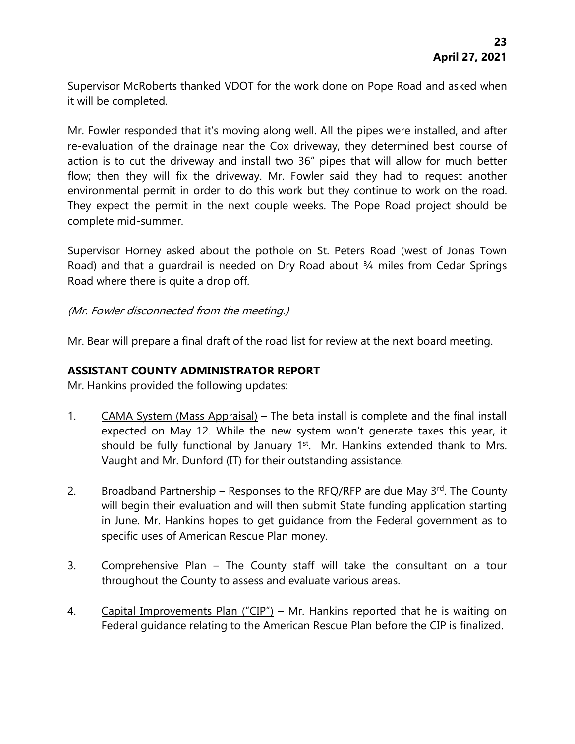Supervisor McRoberts thanked VDOT for the work done on Pope Road and asked when it will be completed.

Mr. Fowler responded that it's moving along well. All the pipes were installed, and after re-evaluation of the drainage near the Cox driveway, they determined best course of action is to cut the driveway and install two 36" pipes that will allow for much better flow; then they will fix the driveway. Mr. Fowler said they had to request another environmental permit in order to do this work but they continue to work on the road. They expect the permit in the next couple weeks. The Pope Road project should be complete mid-summer.

Supervisor Horney asked about the pothole on St. Peters Road (west of Jonas Town Road) and that a quardrail is needed on Dry Road about 3/4 miles from Cedar Springs Road where there is quite a drop off.

# (Mr. Fowler disconnected from the meeting.)

Mr. Bear will prepare a final draft of the road list for review at the next board meeting.

#### **ASSISTANT COUNTY ADMINISTRATOR REPORT**

Mr. Hankins provided the following updates:

- 1. CAMA System (Mass Appraisal) The beta install is complete and the final install expected on May 12. While the new system won't generate taxes this year, it should be fully functional by January 1<sup>st</sup>. Mr. Hankins extended thank to Mrs. Vaught and Mr. Dunford (IT) for their outstanding assistance.
- 2. Broadband Partnership Responses to the RFQ/RFP are due May 3rd. The County will begin their evaluation and will then submit State funding application starting in June. Mr. Hankins hopes to get guidance from the Federal government as to specific uses of American Rescue Plan money.
- 3. Comprehensive Plan The County staff will take the consultant on a tour throughout the County to assess and evaluate various areas.
- 4. Capital Improvements Plan ("CIP") Mr. Hankins reported that he is waiting on Federal guidance relating to the American Rescue Plan before the CIP is finalized.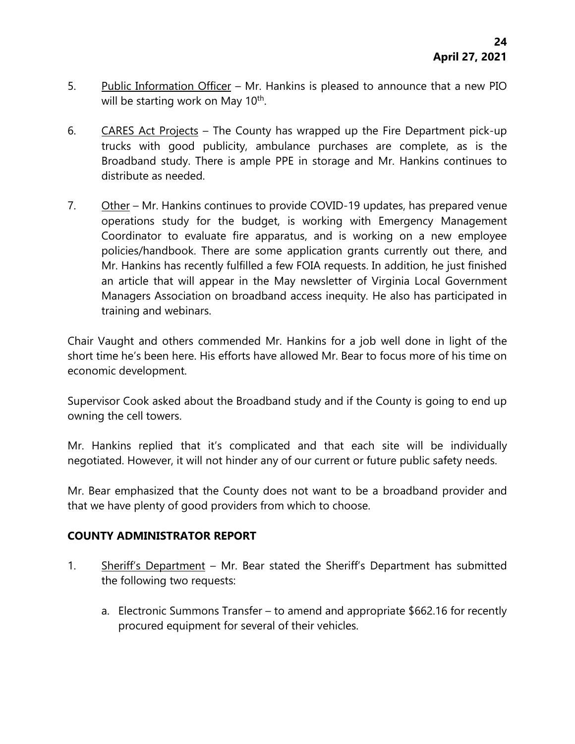- 5. Public Information Officer Mr. Hankins is pleased to announce that a new PIO will be starting work on May 10<sup>th</sup>.
- 6. CARES Act Projects The County has wrapped up the Fire Department pick-up trucks with good publicity, ambulance purchases are complete, as is the Broadband study. There is ample PPE in storage and Mr. Hankins continues to distribute as needed.
- 7. Other Mr. Hankins continues to provide COVID-19 updates, has prepared venue operations study for the budget, is working with Emergency Management Coordinator to evaluate fire apparatus, and is working on a new employee policies/handbook. There are some application grants currently out there, and Mr. Hankins has recently fulfilled a few FOIA requests. In addition, he just finished an article that will appear in the May newsletter of Virginia Local Government Managers Association on broadband access inequity. He also has participated in training and webinars.

Chair Vaught and others commended Mr. Hankins for a job well done in light of the short time he's been here. His efforts have allowed Mr. Bear to focus more of his time on economic development.

Supervisor Cook asked about the Broadband study and if the County is going to end up owning the cell towers.

Mr. Hankins replied that it's complicated and that each site will be individually negotiated. However, it will not hinder any of our current or future public safety needs.

Mr. Bear emphasized that the County does not want to be a broadband provider and that we have plenty of good providers from which to choose.

# **COUNTY ADMINISTRATOR REPORT**

- 1. Sheriff's Department Mr. Bear stated the Sheriff's Department has submitted the following two requests:
	- a. Electronic Summons Transfer to amend and appropriate \$662.16 for recently procured equipment for several of their vehicles.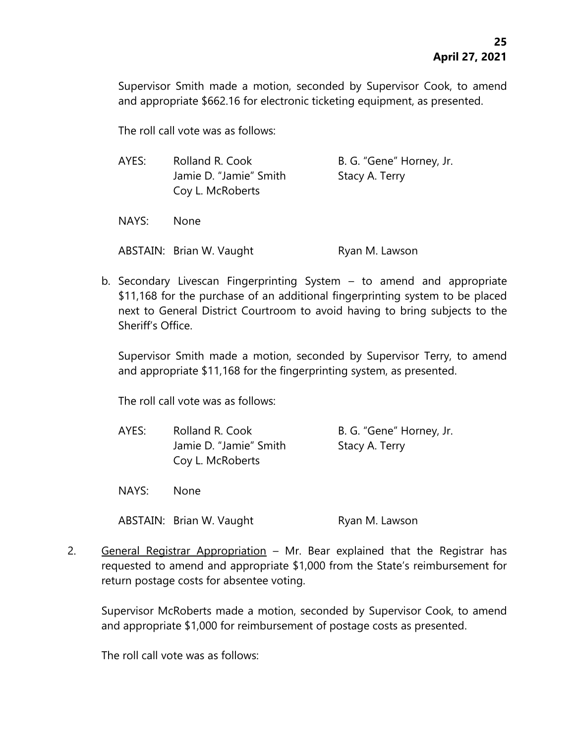Supervisor Smith made a motion, seconded by Supervisor Cook, to amend and appropriate \$662.16 for electronic ticketing equipment, as presented.

The roll call vote was as follows:

| AYES: | Rolland R. Cook<br>Jamie D. "Jamie" Smith<br>Coy L. McRoberts | B. G. "Gene" Horney, Jr.<br>Stacy A. Terry |
|-------|---------------------------------------------------------------|--------------------------------------------|
| NAYS: | <b>None</b>                                                   |                                            |
|       | ABSTAIN: Brian W. Vaught                                      | Ryan M. Lawson                             |

b. Secondary Livescan Fingerprinting System – to amend and appropriate \$11,168 for the purchase of an additional fingerprinting system to be placed next to General District Courtroom to avoid having to bring subjects to the Sheriff's Office.

Supervisor Smith made a motion, seconded by Supervisor Terry, to amend and appropriate \$11,168 for the fingerprinting system, as presented.

The roll call vote was as follows:

| AYES: | Rolland R. Cook        | B. G. "Gene" Horney, Jr. |
|-------|------------------------|--------------------------|
|       | Jamie D. "Jamie" Smith | Stacy A. Terry           |
|       | Coy L. McRoberts       |                          |

NAYS: None

ABSTAIN: Brian W. Vaught Ryan M. Lawson

2. General Registrar Appropriation – Mr. Bear explained that the Registrar has requested to amend and appropriate \$1,000 from the State's reimbursement for return postage costs for absentee voting.

Supervisor McRoberts made a motion, seconded by Supervisor Cook, to amend and appropriate \$1,000 for reimbursement of postage costs as presented.

The roll call vote was as follows: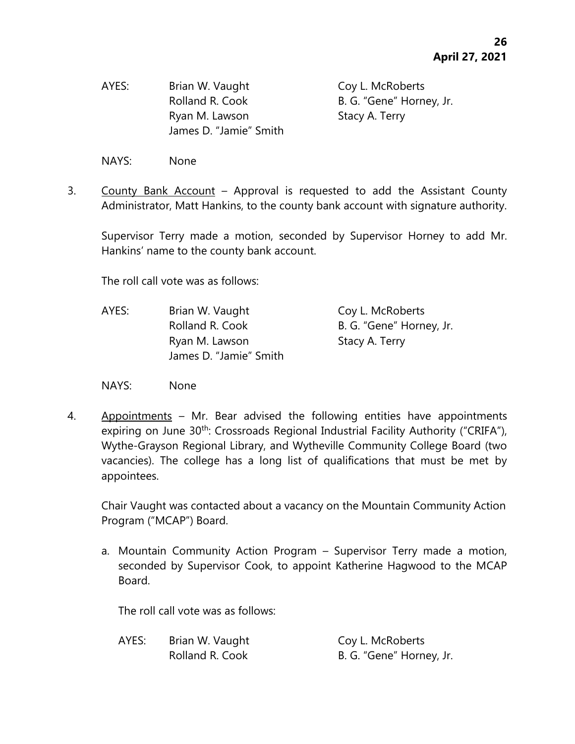AYES: Brian W. Vaught Coy L. McRoberts Ryan M. Lawson Stacy A. Terry James D. "Jamie" Smith

Rolland R. Cook B. G. "Gene" Horney, Jr.

NAYS: None

3. County Bank Account – Approval is requested to add the Assistant County Administrator, Matt Hankins, to the county bank account with signature authority.

Supervisor Terry made a motion, seconded by Supervisor Horney to add Mr. Hankins' name to the county bank account.

The roll call vote was as follows:

- AYES: Brian W. Vaught Coy L. McRoberts Rolland R. Cook B. G. "Gene" Horney, Jr. Ryan M. Lawson Stacy A. Terry James D. "Jamie" Smith
- NAYS: None
- 4. Appointments Mr. Bear advised the following entities have appointments expiring on June 30<sup>th</sup>: Crossroads Regional Industrial Facility Authority ("CRIFA"), Wythe-Grayson Regional Library, and Wytheville Community College Board (two vacancies). The college has a long list of qualifications that must be met by appointees.

Chair Vaught was contacted about a vacancy on the Mountain Community Action Program ("MCAP") Board.

a. Mountain Community Action Program – Supervisor Terry made a motion, seconded by Supervisor Cook, to appoint Katherine Hagwood to the MCAP Board.

The roll call vote was as follows:

| AYES: | Brian W. Vaught | Coy L. McRoberts         |
|-------|-----------------|--------------------------|
|       | Rolland R. Cook | B. G. "Gene" Horney, Jr. |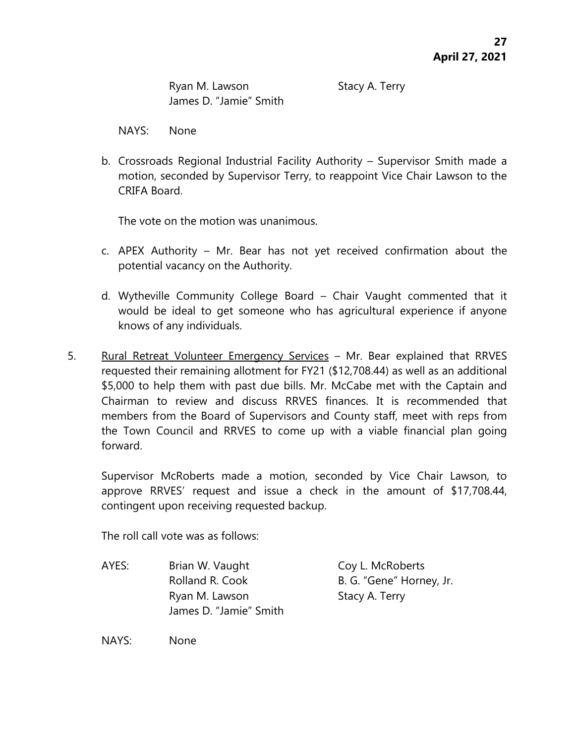Ryan M. Lawson Stacy A. Terry James D. "Jamie" Smith

NAYS: None

b. Crossroads Regional Industrial Facility Authority – Supervisor Smith made a motion, seconded by Supervisor Terry, to reappoint Vice Chair Lawson to the CRIFA Board.

The vote on the motion was unanimous.

- c. APEX Authority Mr. Bear has not yet received confirmation about the potential vacancy on the Authority.
- d. Wytheville Community College Board Chair Vaught commented that it would be ideal to get someone who has agricultural experience if anyone knows of any individuals.
- 5. Rural Retreat Volunteer Emergency Services Mr. Bear explained that RRVES requested their remaining allotment for FY21 (\$12,708.44) as well as an additional \$5,000 to help them with past due bills. Mr. McCabe met with the Captain and Chairman to review and discuss RRVES finances. It is recommended that members from the Board of Supervisors and County staff, meet with reps from the Town Council and RRVES to come up with a viable financial plan going forward.

Supervisor McRoberts made a motion, seconded by Vice Chair Lawson, to approve RRVES' request and issue a check in the amount of \$17,708.44, contingent upon receiving requested backup.

The roll call vote was as follows:

AYES: Brian W. Vaught Coy L. McRoberts Rolland R. Cook B. G. "Gene" Horney, Jr. Ryan M. Lawson Stacy A. Terry James D. "Jamie" Smith

NAYS: None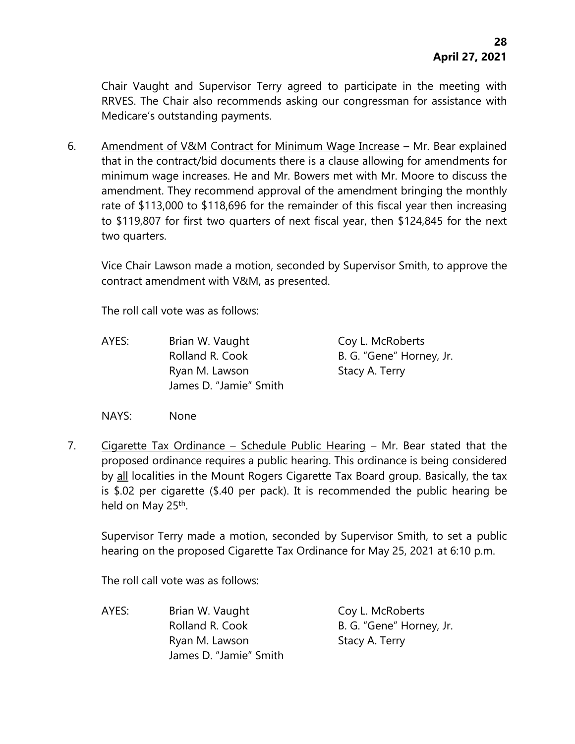Chair Vaught and Supervisor Terry agreed to participate in the meeting with RRVES. The Chair also recommends asking our congressman for assistance with Medicare's outstanding payments.

6. Amendment of V&M Contract for Minimum Wage Increase – Mr. Bear explained that in the contract/bid documents there is a clause allowing for amendments for minimum wage increases. He and Mr. Bowers met with Mr. Moore to discuss the amendment. They recommend approval of the amendment bringing the monthly rate of \$113,000 to \$118,696 for the remainder of this fiscal year then increasing to \$119,807 for first two quarters of next fiscal year, then \$124,845 for the next two quarters.

Vice Chair Lawson made a motion, seconded by Supervisor Smith, to approve the contract amendment with V&M, as presented.

The roll call vote was as follows:

AYES: Brian W. Vaught Coy L. McRoberts Rolland R. Cook B. G. "Gene" Horney, Jr. Ryan M. Lawson Stacy A. Terry James D. "Jamie" Smith

NAYS: None

7. Cigarette Tax Ordinance – Schedule Public Hearing – Mr. Bear stated that the proposed ordinance requires a public hearing. This ordinance is being considered by all localities in the Mount Rogers Cigarette Tax Board group. Basically, the tax is \$.02 per cigarette (\$.40 per pack). It is recommended the public hearing be held on May 25<sup>th</sup>.

Supervisor Terry made a motion, seconded by Supervisor Smith, to set a public hearing on the proposed Cigarette Tax Ordinance for May 25, 2021 at 6:10 p.m.

The roll call vote was as follows:

AYES: Brian W. Vaught Coy L. McRoberts Rolland R. Cook B. G. "Gene" Horney, Jr. Ryan M. Lawson Stacy A. Terry James D. "Jamie" Smith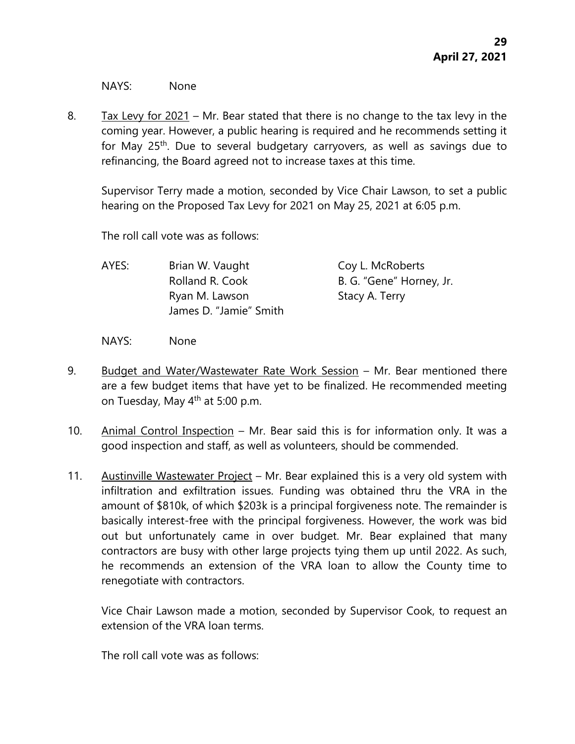NAYS: None

8. Tax Levy for 2021 – Mr. Bear stated that there is no change to the tax levy in the coming year. However, a public hearing is required and he recommends setting it for May 25<sup>th</sup>. Due to several budgetary carryovers, as well as savings due to refinancing, the Board agreed not to increase taxes at this time.

Supervisor Terry made a motion, seconded by Vice Chair Lawson, to set a public hearing on the Proposed Tax Levy for 2021 on May 25, 2021 at 6:05 p.m.

The roll call vote was as follows:

| AYES: | Brian W. Vaught        | Coy L. McRoberts         |
|-------|------------------------|--------------------------|
|       | Rolland R. Cook        | B. G. "Gene" Horney, Jr. |
|       | Ryan M. Lawson         | Stacy A. Terry           |
|       | James D. "Jamie" Smith |                          |

NAYS: None

- 9. Budget and Water/Wastewater Rate Work Session Mr. Bear mentioned there are a few budget items that have yet to be finalized. He recommended meeting on Tuesday, May  $4<sup>th</sup>$  at 5:00 p.m.
- 10. Animal Control Inspection Mr. Bear said this is for information only. It was a good inspection and staff, as well as volunteers, should be commended.
- 11. Austinville Wastewater Project Mr. Bear explained this is a very old system with infiltration and exfiltration issues. Funding was obtained thru the VRA in the amount of \$810k, of which \$203k is a principal forgiveness note. The remainder is basically interest-free with the principal forgiveness. However, the work was bid out but unfortunately came in over budget. Mr. Bear explained that many contractors are busy with other large projects tying them up until 2022. As such, he recommends an extension of the VRA loan to allow the County time to renegotiate with contractors.

Vice Chair Lawson made a motion, seconded by Supervisor Cook, to request an extension of the VRA loan terms.

The roll call vote was as follows: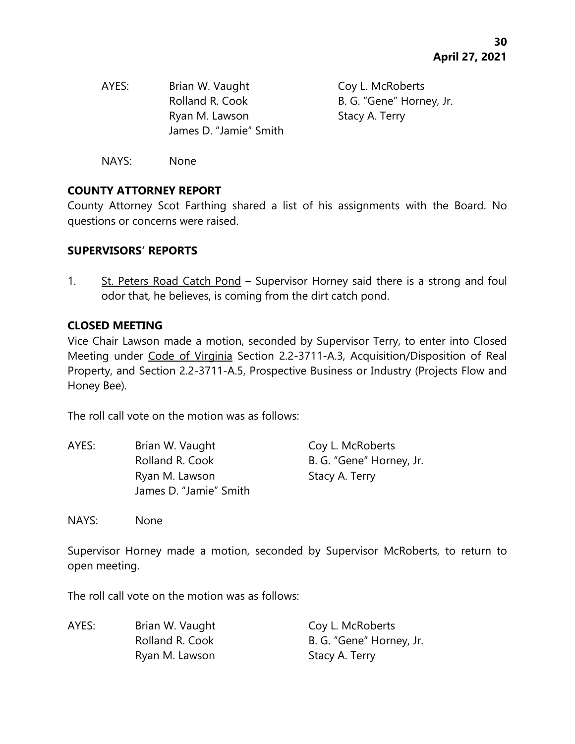| AYES: | Brian W. Vaught        | Coy L. McRoberts         |
|-------|------------------------|--------------------------|
|       | Rolland R. Cook        | B. G. "Gene" Horney, Jr. |
|       | Ryan M. Lawson         | Stacy A. Terry           |
|       | James D. "Jamie" Smith |                          |
|       |                        |                          |

NAYS: None

# **COUNTY ATTORNEY REPORT**

County Attorney Scot Farthing shared a list of his assignments with the Board. No questions or concerns were raised.

#### **SUPERVISORS' REPORTS**

1. St. Peters Road Catch Pond – Supervisor Horney said there is a strong and foul odor that, he believes, is coming from the dirt catch pond.

#### **CLOSED MEETING**

Vice Chair Lawson made a motion, seconded by Supervisor Terry, to enter into Closed Meeting under Code of Virginia Section 2.2-3711-A.3, Acquisition/Disposition of Real Property, and Section 2.2-3711-A.5, Prospective Business or Industry (Projects Flow and Honey Bee).

The roll call vote on the motion was as follows:

| AYES: | Brian W. Vaught        | Coy L. McRoberts         |
|-------|------------------------|--------------------------|
|       | Rolland R. Cook        | B. G. "Gene" Horney, Jr. |
|       | Ryan M. Lawson         | Stacy A. Terry           |
|       | James D. "Jamie" Smith |                          |

NAYS: None

Supervisor Horney made a motion, seconded by Supervisor McRoberts, to return to open meeting.

The roll call vote on the motion was as follows:

| AYES: | Brian W. Vaught | Coy L. McRoberts         |
|-------|-----------------|--------------------------|
|       | Rolland R. Cook | B. G. "Gene" Horney, Jr. |
|       | Ryan M. Lawson  | Stacy A. Terry           |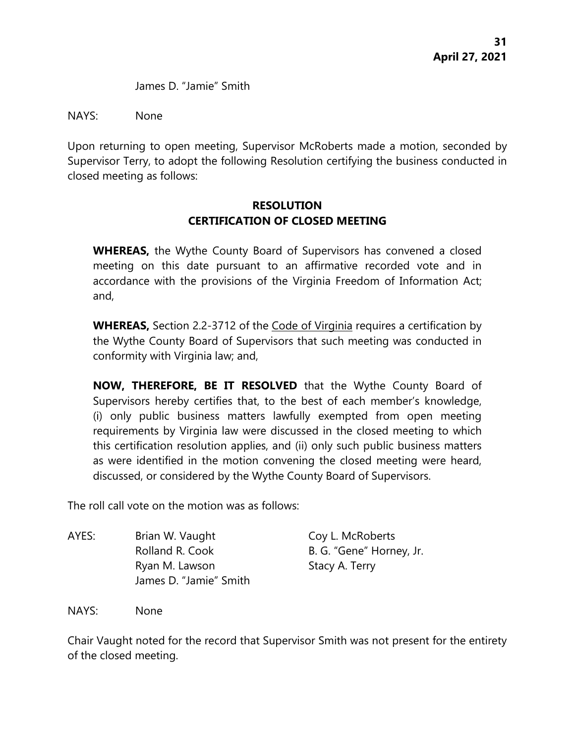James D. "Jamie" Smith

NAYS: None

Upon returning to open meeting, Supervisor McRoberts made a motion, seconded by Supervisor Terry, to adopt the following Resolution certifying the business conducted in closed meeting as follows:

# **RESOLUTION CERTIFICATION OF CLOSED MEETING**

**WHEREAS,** the Wythe County Board of Supervisors has convened a closed meeting on this date pursuant to an affirmative recorded vote and in accordance with the provisions of the Virginia Freedom of Information Act; and,

**WHEREAS,** Section 2.2-3712 of the Code of Virginia requires a certification by the Wythe County Board of Supervisors that such meeting was conducted in conformity with Virginia law; and,

**NOW, THEREFORE, BE IT RESOLVED** that the Wythe County Board of Supervisors hereby certifies that, to the best of each member's knowledge, (i) only public business matters lawfully exempted from open meeting requirements by Virginia law were discussed in the closed meeting to which this certification resolution applies, and (ii) only such public business matters as were identified in the motion convening the closed meeting were heard, discussed, or considered by the Wythe County Board of Supervisors.

The roll call vote on the motion was as follows:

AYES: Brian W. Vaught Coy L. McRoberts Rolland R. Cook B. G. "Gene" Horney, Jr. Ryan M. Lawson Stacy A. Terry James D. "Jamie" Smith

NAYS: None

Chair Vaught noted for the record that Supervisor Smith was not present for the entirety of the closed meeting.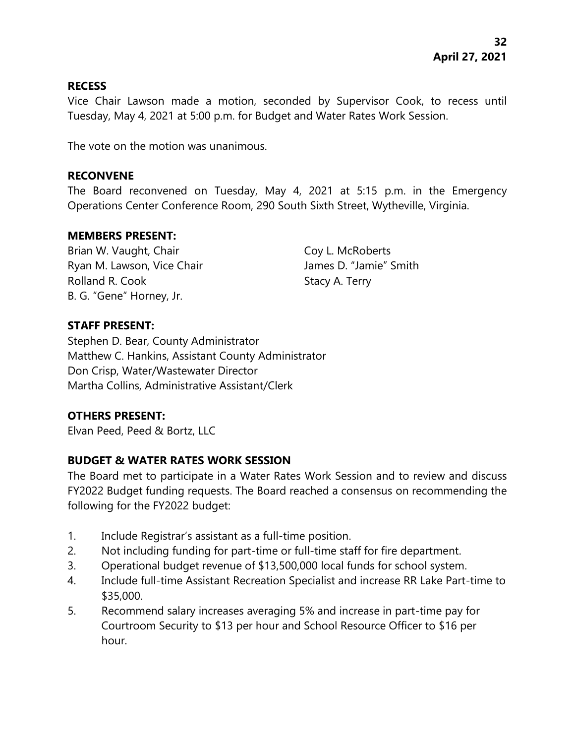#### **RECESS**

Vice Chair Lawson made a motion, seconded by Supervisor Cook, to recess until Tuesday, May 4, 2021 at 5:00 p.m. for Budget and Water Rates Work Session.

The vote on the motion was unanimous.

#### **RECONVENE**

The Board reconvened on Tuesday, May 4, 2021 at 5:15 p.m. in the Emergency Operations Center Conference Room, 290 South Sixth Street, Wytheville, Virginia.

#### **MEMBERS PRESENT:**

Brian W. Vaught, Chair Coy L. McRoberts Ryan M. Lawson, Vice Chair **James D. "Jamie"** Smith Rolland R. Cook Stacy A. Terry B. G. "Gene" Horney, Jr.

# **STAFF PRESENT:**

Stephen D. Bear, County Administrator Matthew C. Hankins, Assistant County Administrator Don Crisp, Water/Wastewater Director Martha Collins, Administrative Assistant/Clerk

# **OTHERS PRESENT:**

Elvan Peed, Peed & Bortz, LLC

# **BUDGET & WATER RATES WORK SESSION**

The Board met to participate in a Water Rates Work Session and to review and discuss FY2022 Budget funding requests. The Board reached a consensus on recommending the following for the FY2022 budget:

- 1. Include Registrar's assistant as a full-time position.
- 2. Not including funding for part-time or full-time staff for fire department.
- 3. Operational budget revenue of \$13,500,000 local funds for school system.
- 4. Include full-time Assistant Recreation Specialist and increase RR Lake Part-time to \$35,000.
- 5. Recommend salary increases averaging 5% and increase in part-time pay for Courtroom Security to \$13 per hour and School Resource Officer to \$16 per hour.